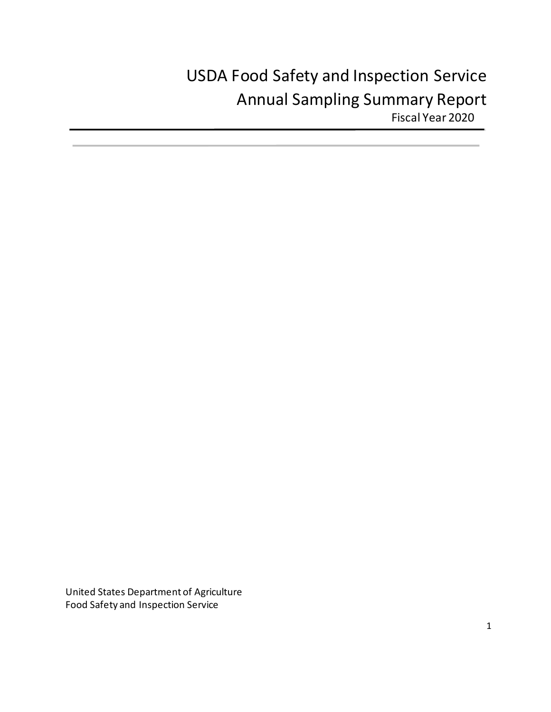# USDA Food Safety and Inspection Service Annual Sampling Summary Report Fiscal Year 2020

United States Department of Agriculture Food Safety and Inspection Service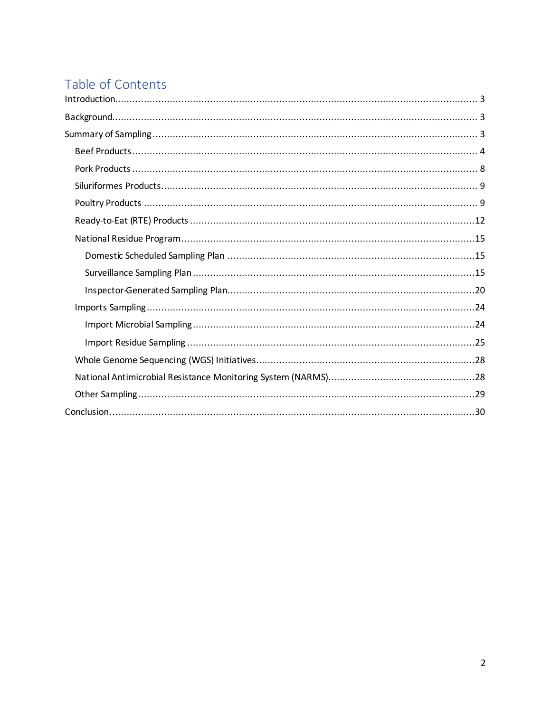# Table of Contents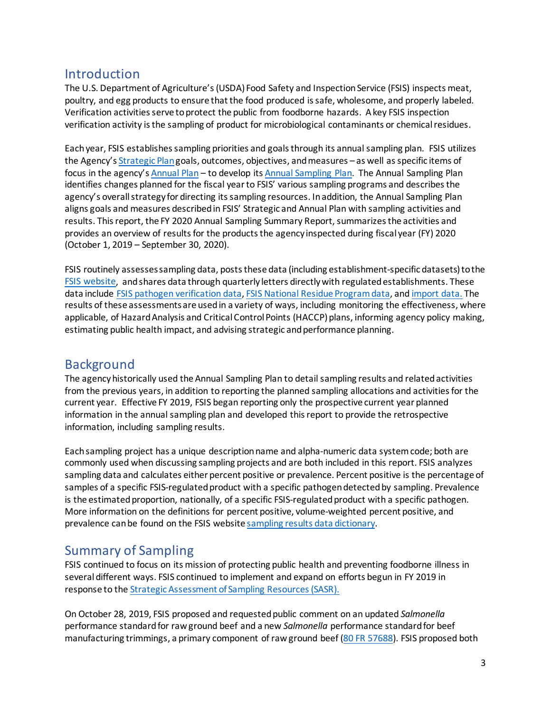# <span id="page-2-0"></span>Introduction

The U.S. Department of Agriculture's (USDA) Food Safety and Inspection Service (FSIS) inspects meat, poultry, and egg products to ensure that the food produced is safe, wholesome, and properly labeled. Verification activities serve to protect the public from foodborne hazards. A key FSIS inspection verification activity is the sampling of product for microbiological contaminants or chemical residues.

Each year, FSIS establishes sampling priorities and goals through its annual sampling plan. FSIS utilizes the Agency'[s Strategic Plan](https://www.fsis.usda.gov/sites/default/files/media_file/2020-07/Strategic-Plan-2017-2021.pdf)goals, outcomes, objectives, and measures – as well as specific items of focus in the agency'[s Annual Plan](https://www.fsis.usda.gov/sites/default/files/media_file/2020-07/annual-plan-fy2020.pdf) – to develop it[s Annual Sampling Plan.](https://www.fsis.usda.gov/sites/default/files/media_file/2020-09/fsis-annual-sampling-plan-fy2020.pdf) The Annual Sampling Plan identifies changes planned for the fiscal year to FSIS' various sampling programs and describes the agency's overall strategy for directing its sampling resources. In addition, the Annual Sampling Plan aligns goals and measures described in FSIS' Strategic and Annual Plan with sampling activities and results. This report, the FY 2020 Annual Sampling Summary Report, summarizes the activities and provides an overview of results for the products the agency inspected during fiscal year (FY) 2020 (October 1, 2019 – September 30, 2020).

FSIS routinely assesses sampling data, posts these data (including establishment-specific datasets) to the [FSIS website,](https://www.fsis.usda.gov/science-data/scientific-reports) and shares data through quarterly letters directly with regulated establishments. These data include [FSIS pathogen verification data,](https://www.fsis.usda.gov/science-data/data-sets-visualizations/microbiology) [FSIS National Residue Program data,](https://www.fsis.usda.gov/science-data/data-sets-visualizations/residue-chemistry) an[d import data.](https://www.fsis.usda.gov/inspection/import-export/international-reports/import-and-export-data) The results of these assessmentsare used in a variety of ways, including monitoring the effectiveness, where applicable, of Hazard Analysis and Critical Control Points (HACCP) plans, informing agency policy making, estimating public health impact, and advising strategic and performance planning.

# <span id="page-2-1"></span>Background

The agency historically used the Annual Sampling Plan to detail sampling results and related activities from the previous years, in addition to reporting the planned sampling allocations and activities for the current year. Effective FY 2019, FSIS began reporting only the prospective current year planned information in the annual sampling plan and developed this report to provide the retrospective information, including sampling results.

Each sampling project has a unique description name and alpha-numeric data system code; both are commonly used when discussing sampling projects and are both included in this report. FSIS analyzes sampling data and calculates either percent positive or prevalence. Percent positive is the percentage of samples of a specific FSIS-regulated product with a specific pathogendetected by sampling. Prevalence is the estimated proportion, nationally, of a specific FSIS-regulated product with a specific pathogen. More information on the definitions for percent positive, volume-weighted percent positive, and prevalence can be found on the FSIS websit[e sampling results data dictionary.](https://www.fsis.usda.gov/science-data/sampling-program/sampling-results-fsis-regulated-products)

# <span id="page-2-2"></span>Summary of Sampling

FSIS continued to focus on its mission of protecting public health and preventing foodborne illness in several different ways. FSIS continued to implement and expand on efforts begun in FY 2019 in response to th[e Strategic Assessment of Sampling Resources \(SASR\).](https://www.fsis.usda.gov/sites/default/files/media_file/2020-11/sasr-report.pdf)

On October 28, 2019, FSIS proposed and requested public comment on an updated *Salmonella*  performance standard for raw ground beef and a new *Salmonella* performance standard for beef manufacturing trimmings, a primary component of raw ground beef [\(80 FR 57688\)](https://www.govinfo.gov/content/pkg/FR-2019-10-28/pdf/2019-23473.pdf). FSIS proposed both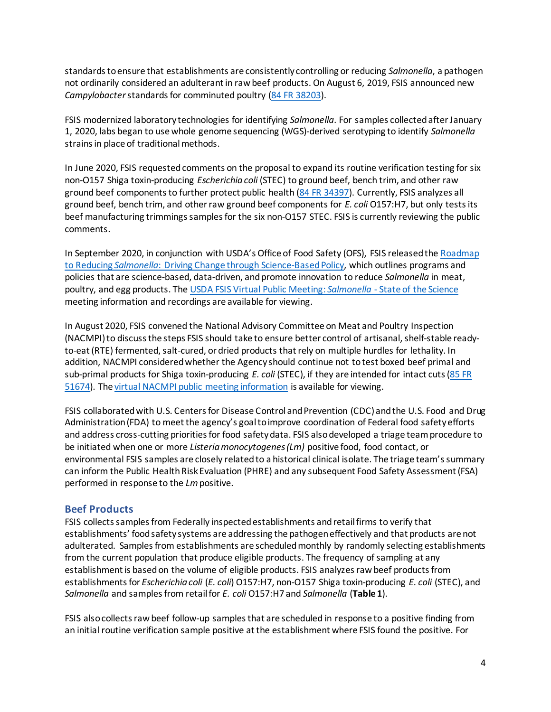standards to ensure that establishments are consistently controlling or reducing *Salmonella*, a pathogen not ordinarily considered an adulterant in raw beef products. On August 6, 2019, FSIS announced new *Campylobacter*standards for comminuted poultry [\(84 FR 38203\)](https://www.fsis.usda.gov/sites/default/files/media_file/2020-08/2018-0044.pdf).

FSIS modernized laboratory technologies for identifying *Salmonella*. For samples collected after January 1, 2020, labs began to use whole genome sequencing (WGS)-derived serotyping to identify *Salmonella* strains in place of traditional methods.

In June 2020, FSIS requested comments on the proposal to expand its routine verification testing for six non-O157 Shiga toxin-producing *Escherichia coli* (STEC) to ground beef, bench trim, and other raw ground beef components to further protect public health [\(84 FR 34397\)](https://www.fsis.usda.gov/sites/default/files/media_file/2020-07/2010-0023.pdf). Currently, FSIS analyzes all ground beef, bench trim, and other raw ground beef components for *E. coli* O157:H7, but only tests its beef manufacturing trimmings samples for the six non-O157 STEC. FSIS is currently reviewing the public comments.

In September 2020, in conjunction with USDA's Office of Food Safety (OFS), FSIS released th[e Roadmap](https://www.fsis.usda.gov/wps/wcm/connect/388d5b27-b821-42ba-a717-526f3bc68b4a/FSISRoadmaptoReducingSalmonella.pdf?MOD=AJPERES)  to Reducing *Salmonella*[: Driving Change through Science-Based Policy,](https://www.fsis.usda.gov/wps/wcm/connect/388d5b27-b821-42ba-a717-526f3bc68b4a/FSISRoadmaptoReducingSalmonella.pdf?MOD=AJPERES) which outlines programs and policies that are science-based, data-driven, and promote innovation to reduce *Salmonella* in meat, poultry, and egg products. The [USDA FSIS Virtual Public Meeting:](https://www.fsis.usda.gov/news-events/events-meetings/usda-fsis-virtual-public-meeting-salmonella-state-science) *Salmonella* - State of the Science meeting information and recordings are available for viewing.

In August 2020, FSIS convened the National Advisory Committee on Meat and Poultry Inspection (NACMPI) to discuss the steps FSIS should take to ensure better control of artisanal, shelf-stable readyto-eat (RTE) fermented, salt-cured, or dried products that rely on multiple hurdles for lethality. In addition, NACMPI consideredwhether the Agency should continue not to test boxed beef primal and sub-primal products for Shiga toxin-producing *E. coli* (STEC), if they are intended for intact cuts[\(85 FR](https://www.govinfo.gov/content/pkg/FR-2020-08-21/pdf/2020-18389.pdf)  [51674\)](https://www.govinfo.gov/content/pkg/FR-2020-08-21/pdf/2020-18389.pdf). Th[e virtual NACMPI public meeting information](https://www.fsis.usda.gov/news-events/events-meetings/2020-national-advisory-committee-meat-and-poultry-inspection-nacmpi) is available for viewing.

FSIS collaborated with U.S. Centers for Disease Control and Prevention (CDC) and the U.S. Food and Drug Administration (FDA) to meet the agency's goal to improve coordination of Federal food safety efforts and address cross-cutting priorities for food safety data. FSIS also developed a triage team procedure to be initiated when one or more *Listeria monocytogenes (Lm)* positive food, food contact, or environmental FSIS samples are closely related to a historical clinical isolate. The triage team's summary can inform the Public Health Risk Evaluation (PHRE) and any subsequent Food Safety Assessment (FSA) performed in response to the *Lm*positive.

#### <span id="page-3-0"></span>**Beef Products**

FSIS collects samples from Federally inspected establishments and retail firms to verify that establishments' food safety systems are addressing the pathogen effectively and that products are not adulterated. Samples from establishments are scheduled monthly by randomly selecting establishments from the current population that produce eligible products. The frequency of sampling at any establishment is based on the volume of eligible products. FSIS analyzes raw beef products from establishmentsfor *Escherichia coli* (*E. coli*) O157:H7, non-O157 Shiga toxin-producing *E. coli* (STEC), and *Salmonella* and samples from retail for *E. coli* O157:H7 and *Salmonella* (**Table 1**).

FSIS also collects raw beef follow-up samplesthat are scheduled in response to a positive finding from an initial routine verification sample positive at the establishment where FSIS found the positive. For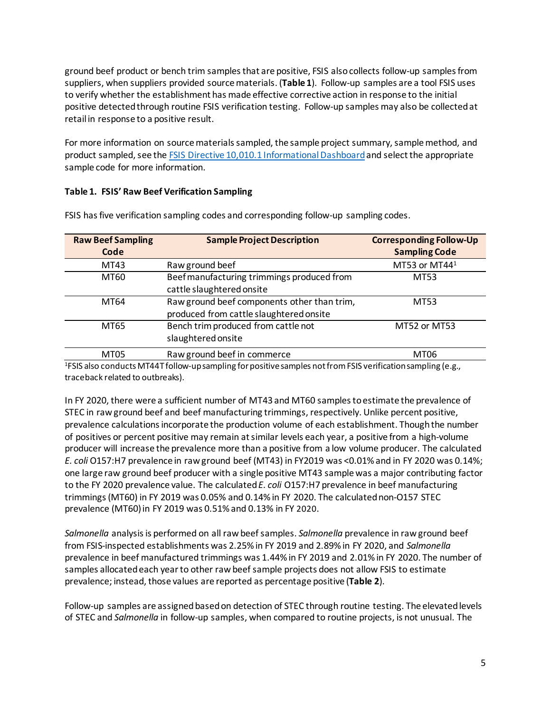ground beef product or bench trim samples that are positive, FSIS also collects follow-up samples from suppliers, when suppliers provided source materials. (**Table 1**). Follow-up samples are a tool FSIS uses to verify whether the establishment has made effective corrective action in response to the initial positive detected through routine FSIS verification testing. Follow-up samples may also be collected at retail in response to a positive result.

For more information on source materials sampled, the sample project summary, sample method, and product sampled, see the [FSIS Directive 10,010.1 Informational Dashboard](https://www.fsis.usda.gov/policy/fsis-directives/10010.1)and select the appropriate sample code for more information.

#### **Table 1. FSIS' Raw Beef Verification Sampling**

| <b>Raw Beef Sampling</b><br>Code | <b>Sample Project Description</b>                                                      | <b>Corresponding Follow-Up</b><br><b>Sampling Code</b> |
|----------------------------------|----------------------------------------------------------------------------------------|--------------------------------------------------------|
| MT43                             | Raw ground beef                                                                        | MT53 or MT441                                          |
| MT60                             | Beef manufacturing trimmings produced from<br>cattle slaughtered onsite                | MT53                                                   |
| MT64                             | Raw ground beef components other than trim,<br>produced from cattle slaughtered onsite | MT53                                                   |
| MT65                             | Bench trim produced from cattle not<br>slaughtered onsite                              | MT52 or MT53                                           |
| MT05                             | Raw ground beef in commerce                                                            | MT06                                                   |

FSIS hasfive verification sampling codes and corresponding follow-up sampling codes.

1 FSIS also conducts MT44T follow-up sampling for positive samples not from FSIS verification sampling (e.g., traceback related to outbreaks).

In FY 2020, there were a sufficient number of MT43 and MT60 samples to estimate the prevalence of STEC in raw ground beef and beef manufacturing trimmings, respectively. Unlike percent positive, prevalence calculations incorporate the production volume of each establishment. Though the number of positives or percent positive may remain at similar levels each year, a positive from a high-volume producer will increase the prevalence more than a positive from a low volume producer. The calculated *E. coli* O157:H7 prevalence in raw ground beef (MT43) in FY2019 was <0.01% and in FY 2020 was 0.14%; one large raw ground beef producer with a single positive MT43 sample was a major contributing factor to the FY 2020 prevalence value. The calculated *E. coli* O157:H7 prevalence in beef manufacturing trimmings (MT60) in FY 2019 was 0.05% and 0.14% in FY 2020. The calculated non-O157 STEC prevalence (MT60) in FY 2019 was 0.51% and 0.13% in FY 2020.

*Salmonella* analysis is performed on all raw beef samples. *Salmonella* prevalence in raw ground beef from FSIS-inspected establishments was 2.25% in FY 2019 and 2.89% in FY 2020, and *Salmonella* prevalence in beef manufactured trimmings was 1.44% in FY 2019 and 2.01% in FY 2020. The number of samples allocated each year to other raw beef sample projects does not allow FSIS to estimate prevalence; instead, those values are reported as percentage positive (**Table 2**).

Follow-up samples are assigned based on detection of STEC through routine testing. The elevated levels of STEC and *Salmonella* in follow-up samples, when compared to routine projects, is not unusual. The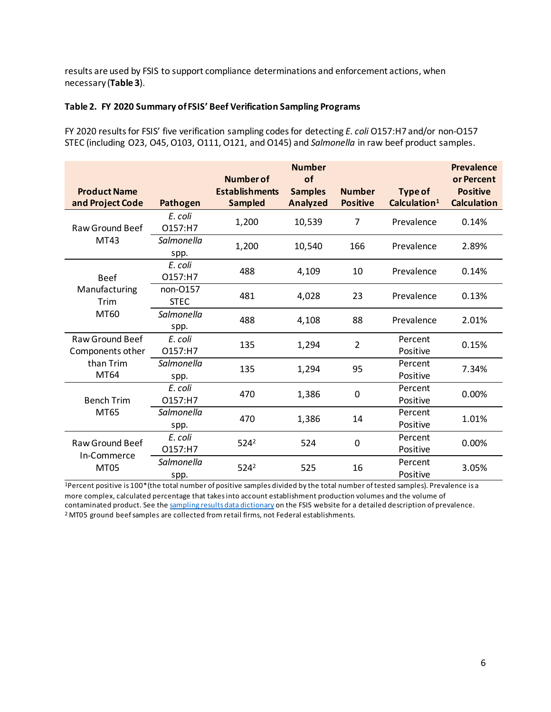results are used by FSIS to support compliance determinations and enforcement actions, when necessary (**Table 3**).

#### **Table 2. FY 2020 Summary of FSIS' Beef Verification Sampling Programs**

FY 2020 results for FSIS' five verification sampling codesfor detecting *E. coli* O157:H7 and/or non-O157 STEC (including O23, O45, O103, O111, O121, and O145) and *Salmonella* in raw beef product samples.

| <b>Product Name</b><br>and Project Code    | <b>Pathogen</b>         | <b>Number of</b><br><b>Establishments</b><br><b>Sampled</b> | <b>Number</b><br>of<br><b>Samples</b><br><b>Analyzed</b> | <b>Number</b><br><b>Positive</b> | <b>Type of</b><br>Calculation <sup>1</sup> | Prevalence<br>or Percent<br><b>Positive</b><br><b>Calculation</b> |
|--------------------------------------------|-------------------------|-------------------------------------------------------------|----------------------------------------------------------|----------------------------------|--------------------------------------------|-------------------------------------------------------------------|
| Raw Ground Beef                            | E. coli<br>O157:H7      | 1,200                                                       | 10,539                                                   | $\overline{7}$                   | Prevalence                                 | 0.14%                                                             |
| MT43                                       | Salmonella<br>spp.      | 1,200                                                       | 10,540                                                   | 166                              | Prevalence                                 | 2.89%                                                             |
| <b>Beef</b>                                | E. coli<br>O157:H7      | 488                                                         | 4,109                                                    | 10                               | Prevalence                                 | 0.14%                                                             |
| Manufacturing<br><b>Trim</b><br>MT60       | non-0157<br><b>STEC</b> | 481                                                         | 4,028                                                    | 23                               | Prevalence                                 | 0.13%                                                             |
|                                            | Salmonella<br>spp.      | 488                                                         | 4,108                                                    | 88                               | Prevalence                                 | 2.01%                                                             |
| <b>Raw Ground Beef</b><br>Components other | E. coli<br>O157:H7      | 135                                                         | 1,294                                                    | $\overline{2}$                   | Percent<br>Positive                        | 0.15%                                                             |
| than Trim<br>MT64                          | Salmonella<br>spp.      | 135                                                         | 1,294                                                    | 95                               | Percent<br>Positive                        | 7.34%                                                             |
| <b>Bench Trim</b>                          | E. coli<br>O157:H7      | 470                                                         | 1,386                                                    | 0                                | Percent<br>Positive                        | 0.00%                                                             |
| MT65                                       | Salmonella<br>spp.      | 470                                                         | 1,386                                                    | 14                               | Percent<br>Positive                        | 1.01%                                                             |
| <b>Raw Ground Beef</b>                     | E. coli<br>O157:H7      | $524^2$                                                     | 524                                                      | 0                                | Percent<br>Positive                        | 0.00%                                                             |
| In-Commerce<br><b>MT05</b>                 | Salmonella<br>spp.      | 5242                                                        | 525                                                      | 16                               | Percent<br>Positive                        | 3.05%                                                             |

1Percent positive is 100\*(the total number of positive samples divided by the total number of tested samples). Prevalence is a more complex, calculated percentage that takes into account establishment production volumes and the volume of contaminated product. See th[e sampling results data dictionary](https://www.fsis.usda.gov/science-data/sampling-program/sampling-results-fsis-regulated-products) on the FSIS website for a detailed description of prevalence. <sup>2</sup> MT05 ground beef samples are collected from retail firms, not Federal establishments.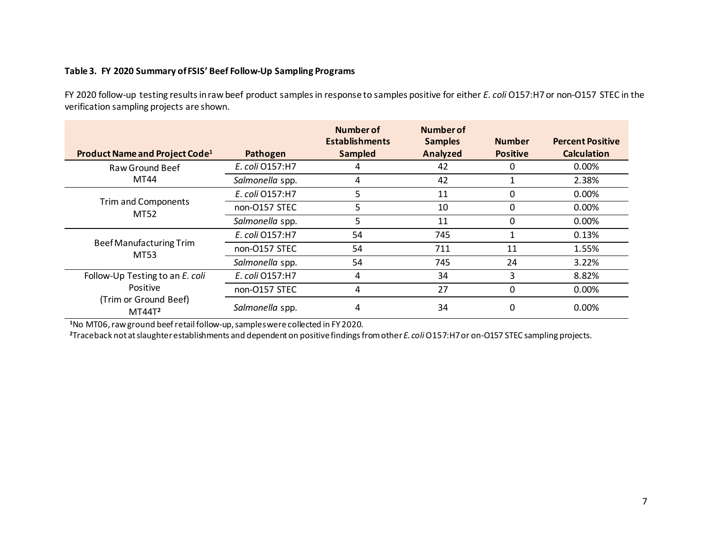#### **Table 3. FY 2020 Summary of FSIS' Beef Follow-Up Sampling Programs**

FY 2020 follow-up testing results in raw beef product samples in response to samples positive for either *E. coli* O157:H7 or non-O157 STEC in the verification sampling projects are shown.

| Product Name and Project Code <sup>1</sup>  | Pathogen        | Number of<br><b>Establishments</b><br><b>Sampled</b> | Number of<br><b>Samples</b><br>Analyzed | <b>Number</b><br><b>Positive</b> | <b>Percent Positive</b><br><b>Calculation</b> |
|---------------------------------------------|-----------------|------------------------------------------------------|-----------------------------------------|----------------------------------|-----------------------------------------------|
| Raw Ground Beef                             | E. coli 0157:H7 | 4                                                    | 42                                      |                                  | 0.00%                                         |
| MT44                                        | Salmonella spp. | 4                                                    | 42                                      |                                  | 2.38%                                         |
|                                             | E. coli 0157:H7 | 5                                                    | 11                                      | 0                                | $0.00\%$                                      |
| <b>Trim and Components</b><br>MT52          | non-O157 STEC   | 5                                                    | 10                                      | $\Omega$                         | $0.00\%$                                      |
|                                             | Salmonella spp. | 5                                                    | 11                                      | 0                                | $0.00\%$                                      |
|                                             | E. coli 0157:H7 | 54                                                   | 745                                     |                                  | 0.13%                                         |
| <b>Beef Manufacturing Trim</b><br>MT53      | non-O157 STEC   | 54                                                   | 711                                     | 11                               | 1.55%                                         |
|                                             | Salmonella spp. | 54                                                   | 745                                     | 24                               | 3.22%                                         |
| Follow-Up Testing to an E. coli             | E. coli 0157:H7 | 4                                                    | 34                                      | 3                                | 8.82%                                         |
| Positive                                    | non-O157 STEC   | 4                                                    | 27                                      | 0                                | $0.00\%$                                      |
| (Trim or Ground Beef)<br>MT44T <sup>2</sup> | Salmonella spp. | 4                                                    | 34                                      | 0                                | $0.00\%$                                      |

**1** No MT06,raw ground beef retail follow-up,samples were collected in FY 2020.

**<sup>2</sup>**Traceback not at slaughter establishments and dependent on positive findings from other *E. coli* O157:H7 or on-O157 STEC sampling projects.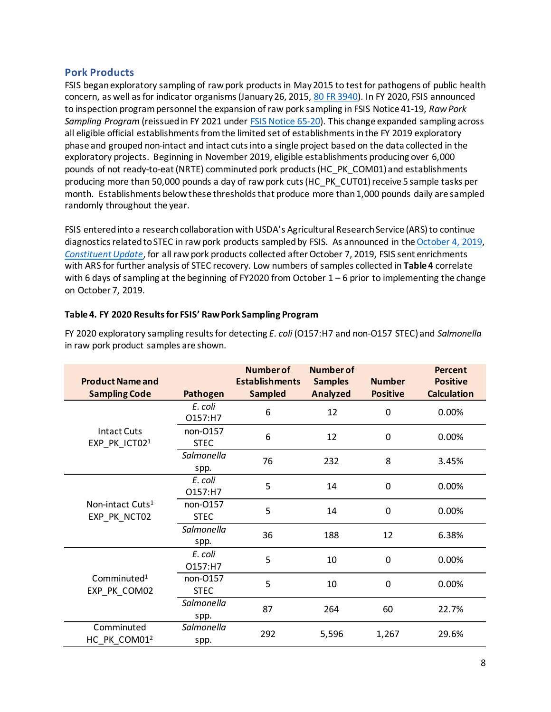#### <span id="page-7-0"></span>**Pork Products**

FSIS began exploratory sampling of raw pork products in May 2015 to test for pathogens of public health concern, as well as for indicator organisms (January 26, 2015[, 80 FR 3940\)](https://www.govinfo.gov/content/pkg/FR-2015-01-26/pdf/2015-01323.pdf). In FY 2020, FSIS announced to inspection program personnel the expansion of raw pork sampling in FSIS Notice 41-19, *Raw Pork Sampling Program* (reissued in FY 2021 under [FSIS Notice 65-20\)](https://www.fsis.usda.gov/wps/wcm/connect/f68acc55-dfc1-476f-9ff8-57fa46c22e64/65-20.pdf?MOD=AJPERES&CONVERT_TO=url&CACHEID=f68acc55-dfc1-476f-9ff8-57fa46c22e64). This change expanded sampling across all eligible official establishments from the limited set of establishments in the FY 2019 exploratory phase and grouped non-intact and intact cuts into a single project based on the data collected in the exploratory projects. Beginning in November 2019, eligible establishments producing over 6,000 pounds of not ready-to-eat (NRTE) comminuted pork products (HC\_PK\_COM01) and establishments producing more than 50,000 pounds a day of raw pork cuts (HC\_PK\_CUT01)receive 5 sample tasks per month. Establishments below these thresholds that produce more than 1,000 pounds daily are sampled randomly throughout the year.

FSIS entered into a research collaboration with USDA's Agricultural Research Service (ARS) to continue diagnostics related to STEC in raw pork products sampled by FSIS. As announced in th[e October 4, 2019,](https://www.fsis.usda.gov/sites/default/files/import/ConstiUpdate100419.pdf) *[Constituent](https://www.fsis.usda.gov/sites/default/files/import/ConstiUpdate100419.pdf) Update*, for all raw pork products collected after October 7, 2019, FSIS sent enrichments with ARS for further analysis of STEC recovery. Low numbers of samples collected in **Table 4** correlate with 6 days of sampling at the beginning of FY2020 from October  $1-6$  prior to implementing the change on October 7, 2019.

# **Table 4. FY 2020 Results for FSIS' Raw Pork Sampling Program**

| <b>Product Name and</b><br><b>Sampling Code</b> | Pathogen                | <b>Number of</b><br><b>Establishments</b><br><b>Sampled</b> | <b>Number of</b><br><b>Samples</b><br><b>Analyzed</b> | <b>Number</b><br><b>Positive</b> | Percent<br><b>Positive</b><br><b>Calculation</b> |
|-------------------------------------------------|-------------------------|-------------------------------------------------------------|-------------------------------------------------------|----------------------------------|--------------------------------------------------|
|                                                 |                         |                                                             |                                                       |                                  |                                                  |
|                                                 | E. coli<br>O157:H7      | 6                                                           | 12                                                    | $\mathbf 0$                      | 0.00%                                            |
| <b>Intact Cuts</b><br>EXP_PK_ICT02 <sup>1</sup> | non-0157<br><b>STEC</b> | 6                                                           | 12                                                    | $\mathbf 0$                      | 0.00%                                            |
|                                                 | Salmonella<br>spp.      | 76                                                          | 232                                                   | 8                                | 3.45%                                            |
|                                                 | E. coli<br>O157:H7      | 5                                                           | 14                                                    | $\mathbf 0$                      | 0.00%                                            |
| Non-intact Cuts <sup>1</sup><br>EXP_PK_NCT02    | non-0157<br><b>STEC</b> | 5                                                           | 14                                                    | $\mathbf 0$                      | 0.00%                                            |
|                                                 | Salmonella<br>spp.      | 36                                                          | 188                                                   | 12                               | 6.38%                                            |
|                                                 | E. coli<br>O157:H7      | 5                                                           | 10                                                    | $\mathbf 0$                      | 0.00%                                            |
| Comminuted <sup>1</sup><br>EXP_PK_COM02         | non-0157<br><b>STEC</b> | 5                                                           | 10                                                    | 0                                | 0.00%                                            |
|                                                 | Salmonella<br>spp.      | 87                                                          | 264                                                   | 60                               | 22.7%                                            |
| Comminuted<br>HC PK COM01 <sup>2</sup>          | Salmonella<br>spp.      | 292                                                         | 5,596                                                 | 1,267                            | 29.6%                                            |

FY 2020 exploratory sampling results for detecting *E. coli* (O157:H7 and non-O157 STEC) and *Salmonella* in raw pork product samples are shown.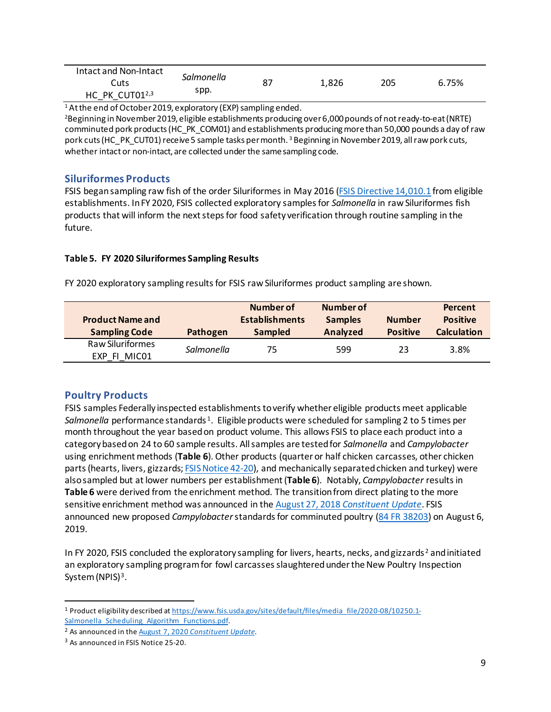| Intact and Non-Intact |                    |    |       |     |       |
|-----------------------|--------------------|----|-------|-----|-------|
| Cuts                  | Salmonella<br>spp. | 87 | 1,826 | 205 | 6.75% |
| HC PK CUT012,3        |                    |    |       |     |       |

 $14$  At the end of October 2019, exploratory (EXP) sampling ended.

<sup>2</sup>Beginning in November 2019, eligible establishments producing over 6,000 pounds of not ready-to-eat (NRTE) comminuted pork products (HC\_PK\_COM01) and establishments producing more than 50,000 pounds a day of raw pork cuts (HC\_PK\_CUT01) receive 5 sample tasks per month. <sup>3</sup> Beginning in November 2019, all raw pork cuts, whether intact or non-intact, are collected under the same sampling code.

#### <span id="page-8-0"></span>**Siluriformes Products**

FSIS began sampling raw fish of the order Siluriformes in May 2016 [\(FSIS Directive 14,010.1](https://www.fsis.usda.gov/wps/wcm/connect/62014bff-0c3a-446b-8751-93a508710d64/14010.1.pdf?MOD=AJPERES) from eligible establishments. In FY 2020, FSIS collected exploratory samples for *Salmonella* in raw Siluriformes fish products that will inform the next steps for food safety verification through routine sampling in the future.

#### **Table 5. FY 2020 Siluriformes Sampling Results**

FY 2020 exploratory sampling results for FSIS raw Siluriformes product sampling are shown.

|                         |            | Number of             | Number of      |                 | Percent            |
|-------------------------|------------|-----------------------|----------------|-----------------|--------------------|
| <b>Product Name and</b> |            | <b>Establishments</b> | <b>Samples</b> | <b>Number</b>   | <b>Positive</b>    |
| <b>Sampling Code</b>    | Pathogen   | <b>Sampled</b>        | Analyzed       | <b>Positive</b> | <b>Calculation</b> |
| <b>Raw Siluriformes</b> | Salmonella | 75                    | 599            | 23              | 3.8%               |
| MIC01<br>EXP FI         |            |                       |                |                 |                    |

# <span id="page-8-1"></span>**Poultry Products**

FSIS samples Federally inspected establishments to verify whether eligible products meet applicable *Salmonella* performance standards [1](#page-8-2). Eligible products were scheduled for sampling 2 to 5 times per month throughout the year based on product volume. This allows FSIS to place each product into a category based on 24 to 60 sample results. All samples are tested for *Salmonella* and *Campylobacter* using enrichment methods (**Table 6**). Other products (quarter or half chicken carcasses, other chicken parts (hearts, livers, gizzards; **FSIS Notice 42-20**), and mechanically separated chicken and turkey) were also sampled but at lower numbers per establishment (**Table 6**). Notably, *Campylobacter* results in **Table 6** were derived from the enrichment method. The transition from direct plating to the more sensitive enrichment method was announced in the August 27, 2018 *[Constituent Update](https://www.fsis.usda.gov/sites/default/files/import/ConstiUpdate100419.pdf)*. FSIS announced new proposed *Campylobacter*standards for comminuted poultry [\(84 FR 38203\)](https://www.fsis.usda.gov/sites/default/files/media_file/2020-08/2018-0044.pdf) on August 6, 2019.

In FY [2](#page-8-3)020, FSIS concluded the exploratory sampling for livers, hearts, necks, and gizzards<sup>2</sup> and initiated an exploratory sampling program for fowl carcasses slaughtered under the New Poultry Inspection System (NPIS)<sup>[3](#page-8-4)</sup>.

<span id="page-8-2"></span><sup>1</sup> Product eligibility described a[t https://www.fsis.usda.gov/sites/default/files/media\\_file/2020-08/10250.1-](https://www.fsis.usda.gov/sites/default/files/media_file/2020-08/10250.1-Salmonella_Scheduling_Algorithm_Functions.pdf) Salmonella Scheduling Algorithm Functions.pdf.

<span id="page-8-3"></span><sup>2</sup> As announced in the August 7, 2020 *[Constituent Update](https://www.fsis.usda.gov/news-events/news-press-releases/constituent-update-august-7-2020)*.

<span id="page-8-4"></span><sup>&</sup>lt;sup>3</sup> As announced in FSIS Notice 25-20.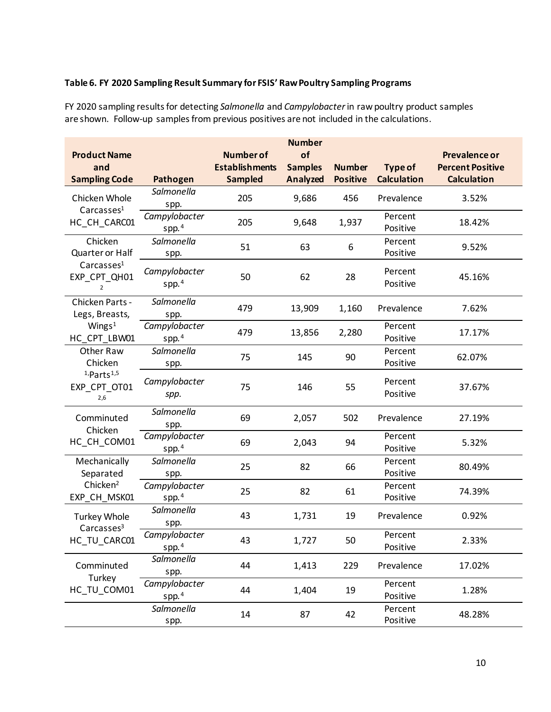# **Table 6. FY 2020 Sampling Result Summary for FSIS' Raw Poultry Sampling Programs**

FY 2020 sampling results for detecting *Salmonella* and *Campylobacter* in raw poultry product samples are shown. Follow-up samples from previous positives are not included in the calculations.

|                                                          |                                    |                                                             | <b>Number</b>                           |                                  |                                      |                                                                |
|----------------------------------------------------------|------------------------------------|-------------------------------------------------------------|-----------------------------------------|----------------------------------|--------------------------------------|----------------------------------------------------------------|
| <b>Product Name</b><br>and<br><b>Sampling Code</b>       | Pathogen                           | <b>Number of</b><br><b>Establishments</b><br><b>Sampled</b> | of<br><b>Samples</b><br><b>Analyzed</b> | <b>Number</b><br><b>Positive</b> | <b>Type of</b><br><b>Calculation</b> | Prevalence or<br><b>Percent Positive</b><br><b>Calculation</b> |
| Chicken Whole<br>Carcasses <sup>1</sup>                  | Salmonella<br>spp.                 | 205                                                         | 9,686                                   | 456                              | Prevalence                           | 3.52%                                                          |
| HC_CH_CARC01                                             | Campylobacter<br>spp. $4$          | 205                                                         | 9,648                                   | 1,937                            | Percent<br>Positive                  | 18.42%                                                         |
| Chicken<br>Quarter or Half                               | Salmonella<br>spp.                 | 51                                                          | 63                                      | 6                                | Percent<br>Positive                  | 9.52%                                                          |
| Carcasses <sup>1</sup><br>EXP_CPT_QH01<br>$\overline{2}$ | Campylobacter<br>spp. $4$          | 50                                                          | 62                                      | 28                               | Percent<br>Positive                  | 45.16%                                                         |
| Chicken Parts -<br>Legs, Breasts,                        | Salmonella<br>spp.                 | 479                                                         | 13,909                                  | 1,160                            | Prevalence                           | 7.62%                                                          |
| Wings $1$<br>HC_CPT_LBW01                                | Campylobacter<br>spp. $4$          | 479                                                         | 13,856                                  | 2,280                            | Percent<br>Positive                  | 17.17%                                                         |
| Other Raw<br>Chicken                                     | Salmonella<br>spp.                 | 75                                                          | 145                                     | 90                               | Percent<br>Positive                  | 62.07%                                                         |
| $1$ , Parts $1,5$<br>EXP_CPT_OT01<br>2,6                 | Campylobacter<br>spp.              | 75                                                          | 146                                     | 55                               | Percent<br>Positive                  | 37.67%                                                         |
| Comminuted<br>Chicken                                    | Salmonella<br>spp.                 | 69                                                          | 2,057                                   | 502                              | Prevalence                           | 27.19%                                                         |
| HC_CH_COM01                                              | Campylobacter<br>spp. $4$          | 69                                                          | 2,043                                   | 94                               | Percent<br>Positive                  | 5.32%                                                          |
| Mechanically<br>Separated                                | Salmonella<br>spp.                 | 25                                                          | 82                                      | 66                               | Percent<br>Positive                  | 80.49%                                                         |
| Chicken <sup>2</sup><br>EXP_CH_MSK01                     | Campylobacter<br>spp. $4$          | 25                                                          | 82                                      | 61                               | Percent<br>Positive                  | 74.39%                                                         |
| <b>Turkey Whole</b><br>Carcasses <sup>3</sup>            | Salmonella<br>spp.                 | 43                                                          | 1,731                                   | 19                               | Prevalence                           | 0.92%                                                          |
| HC_TU_CARC01                                             | Campylobacter<br>spp. <sup>4</sup> | 43                                                          | 1,727                                   | 50                               | Percent<br>Positive                  | 2.33%                                                          |
| Comminuted<br>Turkey                                     | Salmonella<br>spp.                 | 44                                                          | 1,413                                   | 229                              | Prevalence                           | 17.02%                                                         |
| HC TU COM01                                              | Campylobacter<br>spp. $4$          | 44                                                          | 1,404                                   | 19                               | Percent<br>Positive                  | 1.28%                                                          |
|                                                          | Salmonella<br>spp.                 | 14                                                          | 87                                      | 42                               | Percent<br>Positive                  | 48.28%                                                         |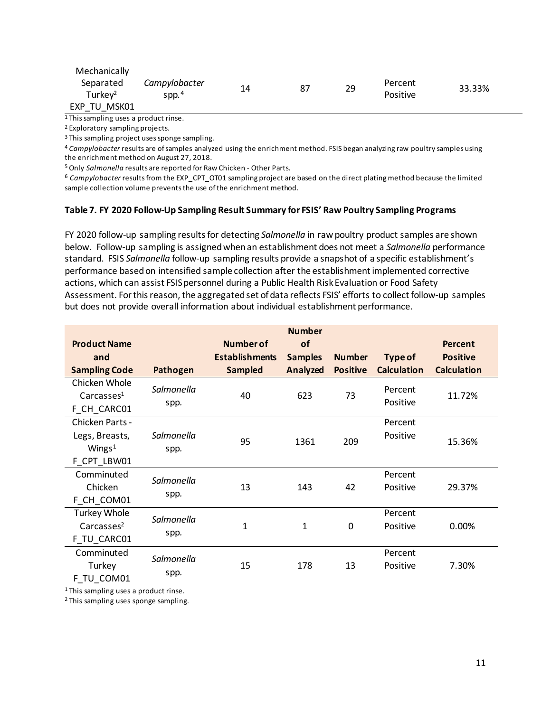| Mechanically                     |                              |    |    |    |                            |        |
|----------------------------------|------------------------------|----|----|----|----------------------------|--------|
| Separated<br>Turkey <sup>2</sup> | Campylobacter<br>$S$ pp. $4$ | 14 | 87 | 29 | Percent<br><b>Positive</b> | 33.33% |
| MSK01<br><b>EXP</b><br>TU        |                              |    |    |    |                            |        |

<sup>1</sup> This sampling uses a product rinse.

<sup>2</sup> Exploratory sampling projects.

<sup>3</sup> This sampling project uses sponge sampling.

<sup>4</sup> *Campylobacter* results are of samples analyzed using the enrichment method. FSIS began analyzing raw poultry samples using the enrichment method on August 27, 2018.<br><sup>5</sup> Only *Salmonella* results are reported for Raw Chicken - Other Parts.

<sup>6</sup> *Campylobacter* results from the EXP\_CPT\_OT01 sampling project are based on the direct plating method because the limited sample collection volume prevents the use of the enrichment method.

#### **Table 7. FY 2020 Follow-Up Sampling Result Summary for FSIS' Raw Poultry Sampling Programs**

FY 2020 follow-up sampling resultsfor detecting *Salmonella* in raw poultry product samples are shown below. Follow-up sampling is assigned when an establishment does not meet a *Salmonella* performance standard. FSIS *Salmonella* follow-up sampling results provide a snapshot of a specific establishment's performance based on intensified sample collection after the establishment implemented corrective actions, which can assist FSIS personnel during a Public Health Risk Evaluation or Food Safety Assessment. For this reason, the aggregated set of data reflects FSIS' efforts to collect follow-up samples but does not provide overall information about individual establishment performance.

| <b>Product Name</b><br>and<br><b>Sampling Code</b>            | Pathogen           | Number of<br><b>Establishments</b><br><b>Sampled</b> | <b>Number</b><br><b>of</b><br><b>Samples</b><br>Analyzed | <b>Number</b><br><b>Positive</b> | Type of<br><b>Calculation</b> | <b>Percent</b><br><b>Positive</b><br><b>Calculation</b> |
|---------------------------------------------------------------|--------------------|------------------------------------------------------|----------------------------------------------------------|----------------------------------|-------------------------------|---------------------------------------------------------|
| Chicken Whole<br>Carcasses <sup>1</sup><br>F_CH_CARC01        | Salmonella<br>spp. | 40                                                   | 623                                                      | 73                               | Percent<br>Positive           | 11.72%                                                  |
| Chicken Parts -<br>Legs, Breasts,<br>Wings $1$<br>F CPT LBW01 | Salmonella<br>spp. | 95                                                   | 1361                                                     | 209                              | Percent<br>Positive           | 15.36%                                                  |
| Comminuted<br>Chicken<br>F CH COM01                           | Salmonella<br>spp. | 13                                                   | 143                                                      | 42                               | Percent<br>Positive           | 29.37%                                                  |
| <b>Turkey Whole</b><br>Carcasses <sup>2</sup><br>F_TU_CARC01  | Salmonella<br>spp. | 1                                                    | 1                                                        | 0                                | Percent<br>Positive           | 0.00%                                                   |
| Comminuted<br>Turkey<br>F TU COM01                            | Salmonella<br>spp. | 15                                                   | 178                                                      | 13                               | Percent<br>Positive           | 7.30%                                                   |

<sup>1</sup> This sampling uses a product rinse.

<sup>2</sup> This sampling uses sponge sampling.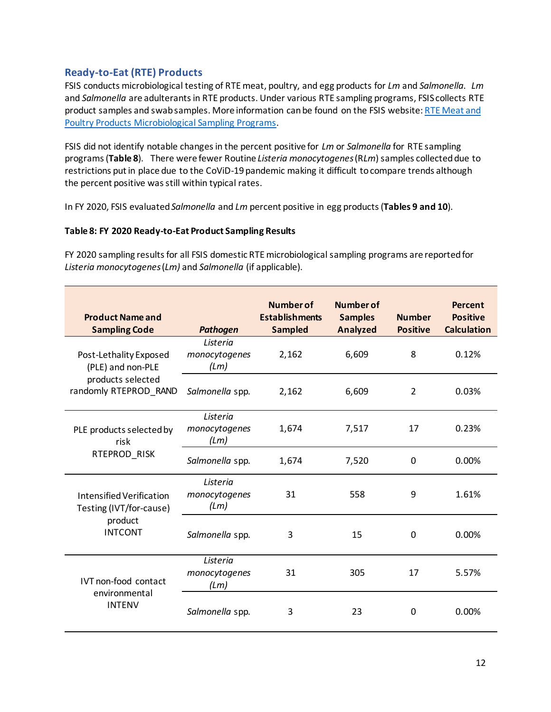# <span id="page-11-0"></span>**Ready-to-Eat (RTE) Products**

FSIS conducts microbiological testing of RTE meat, poultry, and egg products for *Lm* and *Salmonella*. *Lm* and *Salmonella* are adulterants in RTE products. Under various RTE sampling programs, FSIS collects RTE product samples and swab samples. More information can be found on the FSIS website[: RTE Meat and](https://www.fsis.usda.gov/news-events/publications/ready-eat-rte-meat-and-poultry-sampling)  [Poultry Products Microbiological Sampling Programs.](https://www.fsis.usda.gov/news-events/publications/ready-eat-rte-meat-and-poultry-sampling)

FSIS did not identify notable changes in the percent positive for *Lm* or *Salmonella* for RTE sampling programs (**Table 8**). There were fewer Routine *Listeria monocytogenes*(R*Lm*) samples collected due to restrictions put in place due to the CoViD-19 pandemic making it difficult to compare trends although the percent positive was still within typical rates.

In FY 2020, FSIS evaluated*Salmonella* and *Lm* percent positive in egg products (**Tables 9 and 10**).

#### **Table 8: FY 2020 Ready-to-Eat Product Sampling Results**

FY 2020 sampling results for all FSIS domestic RTE microbiological sampling programs are reported for *Listeria monocytogenes*(*Lm)* and *Salmonella* (if applicable).

| <b>Product Name and</b><br><b>Sampling Code</b>                                  | <b>Pathogen</b>                   | <b>Number of</b><br><b>Establishments</b><br><b>Sampled</b> | Number of<br><b>Samples</b><br><b>Analyzed</b> | <b>Number</b><br><b>Positive</b> | <b>Percent</b><br><b>Positive</b><br><b>Calculation</b> |
|----------------------------------------------------------------------------------|-----------------------------------|-------------------------------------------------------------|------------------------------------------------|----------------------------------|---------------------------------------------------------|
| Post-Lethality Exposed<br>(PLE) and non-PLE                                      | Listeria<br>monocytogenes<br>(Lm) | 2,162                                                       | 6,609                                          | 8                                | 0.12%                                                   |
| products selected<br>randomly RTEPROD_RAND                                       | Salmonella spp.                   | 2,162                                                       | 6,609                                          | 2                                | 0.03%                                                   |
| PLE products selected by<br>risk<br>RTEPROD_RISK                                 | Listeria<br>monocytogenes<br>(Lm) | 1,674                                                       | 7,517                                          | 17                               | 0.23%                                                   |
|                                                                                  | Salmonella spp.                   | 1,674                                                       | 7,520                                          | 0                                | 0.00%                                                   |
| Intensified Verification<br>Testing (IVT/for-cause)<br>product<br><b>INTCONT</b> | Listeria<br>monocytogenes<br>(Lm) | 31                                                          | 558                                            | 9                                | 1.61%                                                   |
|                                                                                  | Salmonella spp.                   | 3                                                           | 15                                             | 0                                | 0.00%                                                   |
| IVT non-food contact<br>environmental<br><b>INTENV</b>                           | Listeria<br>monocytogenes<br>(Lm) | 31                                                          | 305                                            | 17                               | 5.57%                                                   |
|                                                                                  | Salmonella spp.                   | 3                                                           | 23                                             | 0                                | 0.00%                                                   |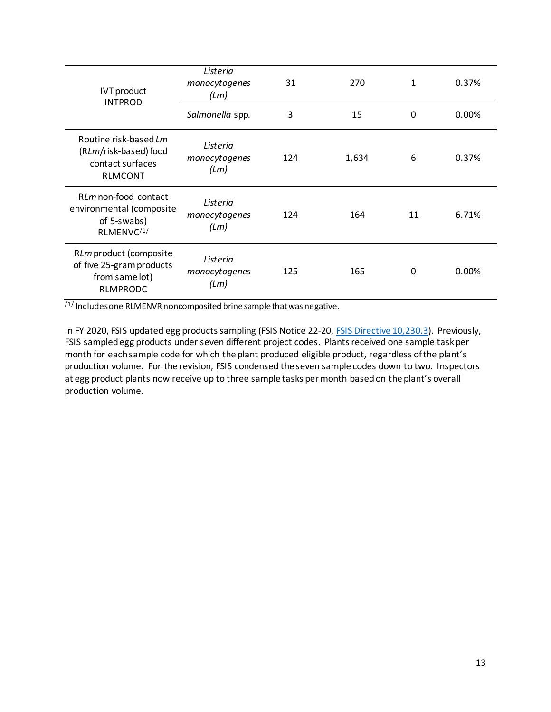| <b>IVT</b> product<br><b>INTPROD</b>                                                      | Listeria<br>monocytogenes<br>(Lm) | 31  | 270   | 1  | 0.37%    |
|-------------------------------------------------------------------------------------------|-----------------------------------|-----|-------|----|----------|
|                                                                                           | Salmonella spp.                   | 3   | 15    | 0  | $0.00\%$ |
| Routine risk-based Lm<br>(RLm/risk-based) food<br>contact surfaces<br><b>RLMCONT</b>      | Listeria<br>monocytogenes<br>(Lm) | 124 | 1,634 | 6  | 0.37%    |
| RLm non-food contact<br>environmental (composite<br>of 5-swabs)<br>RLMENVC <sup>/1/</sup> | Listeria<br>monocytogenes<br>(Lm) | 124 | 164   | 11 | 6.71%    |
| RLm product (composite<br>of five 25-gram products<br>from same lot)<br><b>RLMPRODC</b>   | Listeria<br>monocytogenes<br>(Lm) | 125 | 165   | 0  | $0.00\%$ |

/1/ Includes one RLMENVR noncomposited brine sample that was negative.

In FY 2020, FSIS updated egg products sampling (FSIS Notice 22-20, [FSIS Directive 10,230.3\)](https://www.fsis.usda.gov/policy/fsis-directives/10230.3). Previously, FSIS sampled egg products under seven different project codes. Plants received one sample task per month for each sample code for which the plant produced eligible product, regardless of the plant's production volume. For the revision, FSIS condensed the seven sample codes down to two. Inspectors at egg product plants now receive up to three sample tasks per month based on the plant's overall production volume.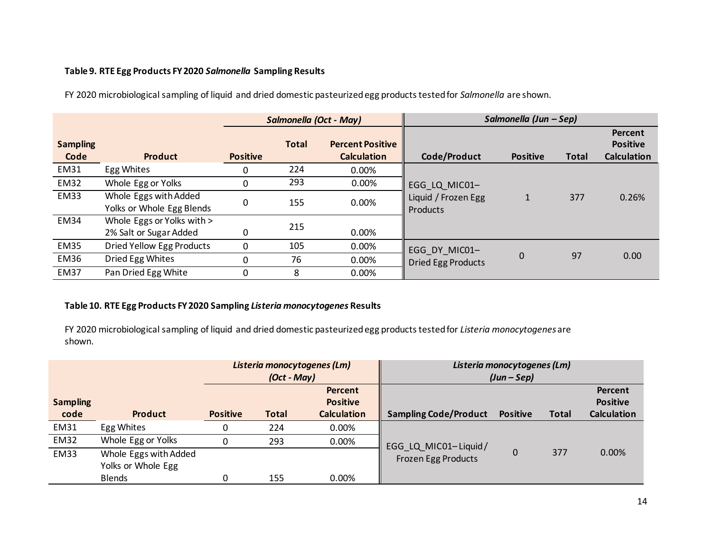#### **Table 9. RTE Egg Products FY2020** *Salmonella* **Sampling Results**

FY 2020 microbiological sampling of liquid and dried domestic pasteurized egg productstested for *Salmonella* are shown.

|                         |                            |                 |              | Salmonella (Oct - May)                        |                           | Salmonella (Jun – Sep) |              |                                                  |
|-------------------------|----------------------------|-----------------|--------------|-----------------------------------------------|---------------------------|------------------------|--------------|--------------------------------------------------|
| <b>Sampling</b><br>Code | <b>Product</b>             | <b>Positive</b> | <b>Total</b> | <b>Percent Positive</b><br><b>Calculation</b> | Code/Product              | <b>Positive</b>        | <b>Total</b> | Percent<br><b>Positive</b><br><b>Calculation</b> |
| <b>EM31</b>             | Egg Whites                 |                 | 224          | 0.00%                                         |                           |                        |              |                                                  |
| <b>EM32</b>             | Whole Egg or Yolks         | $\Omega$        | 293          | 0.00%                                         | EGG LQ MIC01-             |                        |              |                                                  |
| <b>EM33</b>             | Whole Eggs with Added      | 0               | 155          | 0.00%                                         | Liquid / Frozen Egg       | 1                      | 377          | 0.26%                                            |
|                         | Yolks or Whole Egg Blends  |                 |              |                                               | Products                  |                        |              |                                                  |
| <b>EM34</b>             | Whole Eggs or Yolks with > |                 |              |                                               |                           |                        |              |                                                  |
|                         | 2% Salt or Sugar Added     |                 | 215          | 0.00%                                         |                           |                        |              |                                                  |
| <b>EM35</b>             | Dried Yellow Egg Products  | $\Omega$        | 105          | 0.00%                                         | EGG DY MIC01-             |                        |              |                                                  |
| <b>EM36</b>             | Dried Egg Whites           |                 | 76           | 0.00%                                         | <b>Dried Egg Products</b> | 0                      | 97           | 0.00                                             |
| <b>EM37</b>             | Pan Dried Egg White        |                 | 8            | 0.00%                                         |                           |                        |              |                                                  |

### **Table 10. RTE Egg Products FY2020 Sampling** *Listeria monocytogenes* **Results**

FY 2020 microbiological sampling of liquid and dried domestic pasteurized egg productstested for *Listeria monocytogenes*are shown.

|                                           |                                                              | Listeria monocytogenes (Lm)<br>$(Oct - May)$ |              |                                                  | Listeria monocytogenes (Lm)<br>$(Jun - Sep)$ |                 |              |                                                  |  |
|-------------------------------------------|--------------------------------------------------------------|----------------------------------------------|--------------|--------------------------------------------------|----------------------------------------------|-----------------|--------------|--------------------------------------------------|--|
| <b>Sampling</b><br>code<br><b>Product</b> |                                                              | <b>Positive</b>                              | <b>Total</b> | Percent<br><b>Positive</b><br><b>Calculation</b> | <b>Sampling Code/Product</b>                 | <b>Positive</b> | <b>Total</b> | Percent<br><b>Positive</b><br><b>Calculation</b> |  |
| EM31                                      | Egg Whites                                                   | 0                                            | 224          | 0.00%                                            |                                              |                 |              |                                                  |  |
| <b>EM32</b>                               | Whole Egg or Yolks                                           | 0                                            | 293          | 0.00%                                            | EGG_LQ_MIC01-Liquid/                         |                 |              |                                                  |  |
| <b>EM33</b>                               | Whole Eggs with Added<br>Yolks or Whole Egg<br><b>Blends</b> |                                              | 155          | 0.00%                                            | Frozen Egg Products                          | 0               | 377          | 0.00%                                            |  |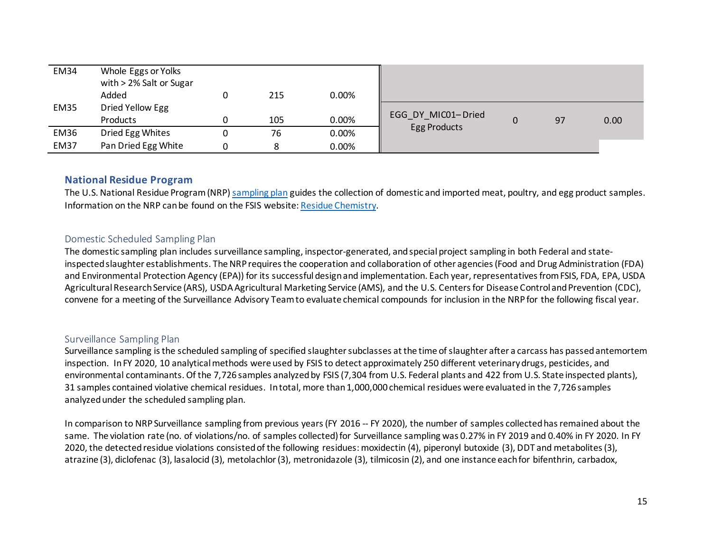| <b>EM34</b> | Whole Eggs or Yolks<br>with > 2% Salt or Sugar<br>Added | 215 | $0.00\%$ |                    |    |      |
|-------------|---------------------------------------------------------|-----|----------|--------------------|----|------|
| <b>EM35</b> | Dried Yellow Egg<br>Products                            | 105 | $0.00\%$ | EGG_DY_MIC01-Dried | 97 | 0.00 |
|             |                                                         |     |          | Egg Products       |    |      |
| <b>EM36</b> | Dried Egg Whites                                        | 76  | 0.00%    |                    |    |      |
| <b>EM37</b> | Pan Dried Egg White                                     | 8   | $0.00\%$ |                    |    |      |

### **National Residue Program**

The U.S. National Residue Program (NRP[\) sampling plan](https://www.fsis.usda.gov/node/1982) guides the collection of domestic and imported meat, poultry, and egg product samples. Information on the NRP can be found on the FSIS website[: Residue Chemistry.](https://www.fsis.usda.gov/science-data/data-sets-visualizations/residue-chemistry)

#### Domestic Scheduled Sampling Plan

The domestic sampling plan includes surveillance sampling, inspector-generated, and special project sampling in both Federal and stateinspected slaughter establishments. The NRP requires the cooperation and collaboration of other agencies (Food and Drug Administration (FDA) and Environmental Protection Agency (EPA)) for its successful design and implementation. Each year, representatives from FSIS, FDA, EPA, USDA Agricultural Research Service (ARS), USDA Agricultural Marketing Service (AMS), and the U.S. Centers for Disease Control and Prevention (CDC), convene for a meeting of the Surveillance Advisory Team to evaluate chemical compounds for inclusion in the NRP for the following fiscal year.

#### <span id="page-14-0"></span>Surveillance Sampling Plan

Surveillance sampling is the scheduled sampling of specified slaughter subclasses at the time of slaughter after a carcass has passedantemortem inspection. In FY 2020, 10 analytical methods were used by FSIS to detect approximately 250 different veterinary drugs, pesticides, and environmental contaminants. Of the 7,726 samples analyzed by FSIS (7,304 from U.S. Federal plants and 422 from U.S. State inspected plants), 31 samples contained violative chemical residues. In total, more than 1,000,000 chemical residues were evaluated in the 7,726 samples analyzed under the scheduled sampling plan.

<span id="page-14-2"></span><span id="page-14-1"></span>In comparison to NRP Surveillance sampling from previous years (FY 2016 -- FY 2020), the number of samples collected has remained about the same. The violation rate (no. of violations/no. of samples collected) for Surveillance sampling was 0.27% in FY 2019 and 0.40% in FY 2020. In FY 2020, the detectedresidue violations consisted of the following residues: moxidectin (4), piperonyl butoxide (3), DDT and metabolites (3), atrazine (3), diclofenac (3), lasalocid (3), metolachlor (3), metronidazole (3), tilmicosin (2), and one instance each for bifenthrin, carbadox,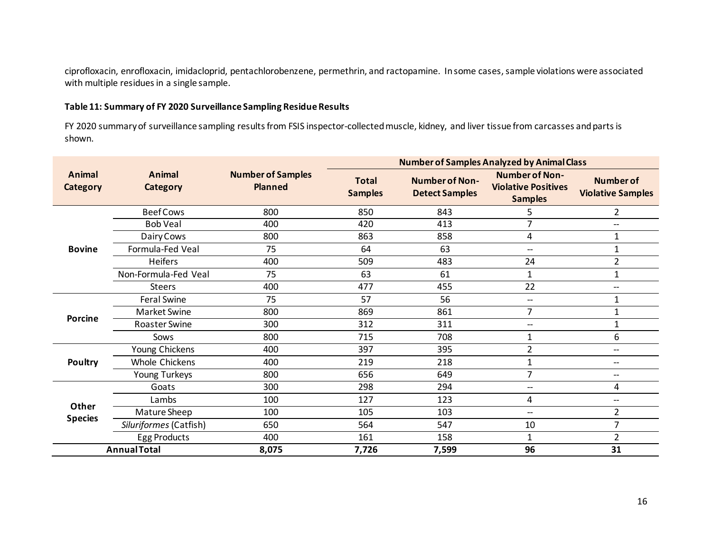ciprofloxacin, enrofloxacin, imidacloprid, pentachlorobenzene, permethrin, and ractopamine. In some cases, sample violations were associated with multiple residues in a single sample.

#### **Table 11: Summary of FY 2020 Surveillance Sampling Residue Results**

FY 2020 summary of surveillance sampling results from FSIS inspector-collected muscle, kidney, and liver tissue from carcasses and parts is shown.

|                           |                        |                                            |                                | <b>Number of Samples Analyzed by Animal Class</b> |                                                                       |                                              |
|---------------------------|------------------------|--------------------------------------------|--------------------------------|---------------------------------------------------|-----------------------------------------------------------------------|----------------------------------------------|
| Animal<br><b>Category</b> | Animal<br>Category     | <b>Number of Samples</b><br><b>Planned</b> | <b>Total</b><br><b>Samples</b> | <b>Number of Non-</b><br><b>Detect Samples</b>    | <b>Number of Non-</b><br><b>Violative Positives</b><br><b>Samples</b> | <b>Number of</b><br><b>Violative Samples</b> |
|                           | <b>Beef Cows</b>       | 800                                        | 850                            | 843                                               | 5                                                                     | $\overline{2}$                               |
|                           | <b>Bob Veal</b>        | 400                                        | 420                            | 413                                               | $\overline{7}$                                                        | --                                           |
|                           | Dairy Cows             | 800                                        | 863                            | 858                                               | 4                                                                     | 1                                            |
| <b>Bovine</b>             | Formula-Fed Veal       | 75                                         | 64                             | 63                                                | $-\!$                                                                 | $\mathbf{1}$                                 |
|                           | <b>Heifers</b>         | 400                                        | 509                            | 483                                               | 24                                                                    | $\overline{2}$                               |
|                           | Non-Formula-Fed Veal   | 75                                         | 63                             | 61                                                | 1                                                                     | $\mathbf{1}$                                 |
|                           | <b>Steers</b>          | 400                                        | 477                            | 455                                               | 22                                                                    | $\hspace{0.05cm}$ $\hspace{0.05cm}$          |
|                           | Feral Swine            | 75                                         | 57                             | 56                                                | $\hspace{0.05cm}$ – $\hspace{0.05cm}$                                 | $\mathbf{1}$                                 |
|                           | Market Swine           | 800                                        | 869                            | 861                                               | $\overline{7}$                                                        | $\mathbf{1}$                                 |
| <b>Porcine</b>            | <b>Roaster Swine</b>   | 300                                        | 312                            | 311                                               | $\hspace{0.05cm} -\hspace{0.05cm}$                                    | $\mathbf{1}$                                 |
|                           | Sows                   | 800                                        | 715                            | 708                                               | 1                                                                     | 6                                            |
|                           | Young Chickens         | 400                                        | 397                            | 395                                               | $\overline{2}$                                                        | $\hspace{0.05cm}$ $\hspace{0.05cm}$          |
| Poultry                   | <b>Whole Chickens</b>  | 400                                        | 219                            | 218                                               |                                                                       | $\hspace{0.05cm}$ $\hspace{0.05cm}$          |
|                           | Young Turkeys          | 800                                        | 656                            | 649                                               | $\overline{7}$                                                        | $\hspace{0.05cm}$ $\hspace{0.05cm}$          |
|                           | Goats                  | 300                                        | 298                            | 294                                               | $\hspace{0.05cm}$ – $\hspace{0.05cm}$                                 | 4                                            |
|                           | Lambs                  | 100                                        | 127                            | 123                                               | 4                                                                     | $\overline{\phantom{a}}$                     |
| Other                     | Mature Sheep           | 100                                        | 105                            | 103                                               | $\overline{\phantom{a}}$                                              | $\overline{2}$                               |
| <b>Species</b>            | Siluriformes (Catfish) | 650                                        | 564                            | 547                                               | 10                                                                    | $\overline{7}$                               |
|                           | Egg Products           | 400                                        | 161                            | 158                                               | $\mathbf{1}$                                                          | $\overline{2}$                               |
|                           | <b>Annual Total</b>    | 8,075                                      | 7,726                          | 7,599                                             | 96                                                                    | 31                                           |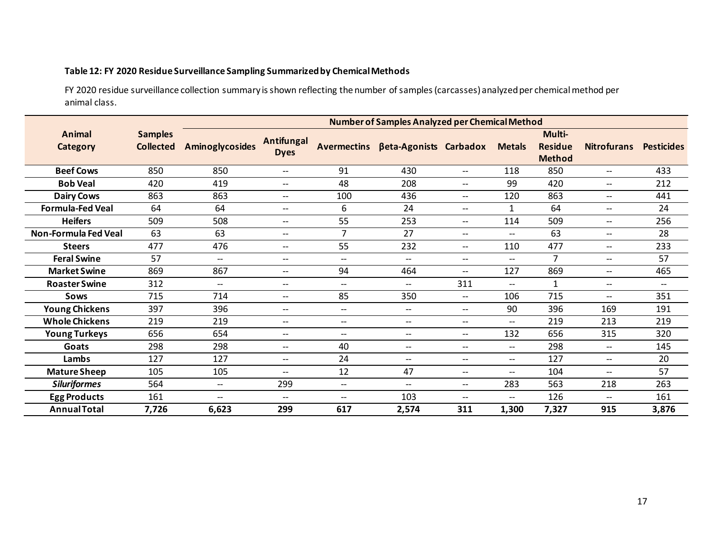#### **Table 12: FY 2020 Residue Surveillance Sampling Summarized by Chemical Methods**

FY 2020 residue surveillance collection summary is shown reflecting the number of samples (carcasses) analyzed per chemical method per animal class.

|                           |                                    |                                                     |                                  |                | <b>Number of Samples Analyzed per Chemical Method</b> |                                                     |                                       |                                           |                                     |                   |  |  |
|---------------------------|------------------------------------|-----------------------------------------------------|----------------------------------|----------------|-------------------------------------------------------|-----------------------------------------------------|---------------------------------------|-------------------------------------------|-------------------------------------|-------------------|--|--|
| Animal<br><b>Category</b> | <b>Samples</b><br><b>Collected</b> | <b>Aminoglycosides</b>                              | <b>Antifungal</b><br><b>Dyes</b> |                | Avermectins βeta-Agonists Carbadox                    |                                                     | <b>Metals</b>                         | Multi-<br><b>Residue</b><br><b>Method</b> | <b>Nitrofurans</b>                  | <b>Pesticides</b> |  |  |
| <b>Beef Cows</b>          | 850                                | 850                                                 | $\overline{\phantom{a}}$         | 91             | 430                                                   | --                                                  | 118                                   | 850                                       | --                                  | 433               |  |  |
| <b>Bob Veal</b>           | 420                                | 419                                                 | --                               | 48             | 208                                                   | $\hspace{0.05cm} \ldots$                            | 99                                    | 420                                       | $\hspace{0.05cm} \dashrightarrow$   | 212               |  |  |
| <b>Dairy Cows</b>         | 863                                | 863                                                 | $\overline{\phantom{a}}$         | 100            | 436                                                   | $--$                                                | 120                                   | 863                                       | $\hspace{0.05cm} \ldots$            | 441               |  |  |
| <b>Formula-Fed Veal</b>   | 64                                 | 64                                                  | $- -$                            | 6              | 24                                                    | $\hspace{0.05cm} \ldots$                            | $\mathbf{1}$                          | 64                                        | $\hspace{0.05cm}$ $\hspace{0.05cm}$ | 24                |  |  |
| <b>Heifers</b>            | 509                                | 508                                                 | $\overline{\phantom{a}}$         | 55             | 253                                                   | $\hspace{0.05cm} -\hspace{0.05cm} -\hspace{0.05cm}$ | 114                                   | 509                                       | $\hspace{0.05cm} -\hspace{0.05cm}$  | 256               |  |  |
| Non-Formula Fed Veal      | 63                                 | 63                                                  | $\overline{\phantom{a}}$         | $\overline{7}$ | 27                                                    | $\hspace{0.05cm} -$                                 | $\overline{\phantom{a}}$              | 63                                        | $\hspace{0.05cm} -\hspace{0.05cm}$  | 28                |  |  |
| <b>Steers</b>             | 477                                | 476                                                 | --                               | 55             | 232                                                   | $\hspace{0.05cm} -$                                 | 110                                   | 477                                       | $\hspace{0.05cm} -\hspace{0.05cm}$  | 233               |  |  |
| <b>Feral Swine</b>        | 57                                 | $\overline{\phantom{a}}$                            | $\overline{a}$                   | $- -$          | $\overline{\phantom{0}}$                              | $\overline{\phantom{a}}$                            | $-$                                   | $\overline{7}$                            | $\overline{\phantom{a}}$            | 57                |  |  |
| <b>Market Swine</b>       | 869                                | 867                                                 | $\overline{\phantom{a}}$         | 94             | 464                                                   | $\hspace{0.05cm}$ – $\hspace{0.05cm}$               | 127                                   | 869                                       | $-$                                 | 465               |  |  |
| <b>Roaster Swine</b>      | 312                                | $\overline{\phantom{a}}$                            | $\overline{\phantom{a}}$         | $- -$          | $\overline{\phantom{0}}$                              | 311                                                 | $\overline{\phantom{0}}$              | $\mathbf{1}$                              | $\qquad \qquad -$                   | --                |  |  |
| <b>Sows</b>               | 715                                | 714                                                 | --                               | 85             | 350                                                   | $-\!$                                               | 106                                   | 715                                       | --                                  | 351               |  |  |
| <b>Young Chickens</b>     | 397                                | 396                                                 | $\overline{\phantom{a}}$         | $--$           | $\hspace{0.05cm}$ – $\hspace{0.05cm}$                 | $\hspace{0.05cm} \ldots$                            | 90                                    | 396                                       | 169                                 | 191               |  |  |
| <b>Whole Chickens</b>     | 219                                | 219                                                 | $\overline{\phantom{a}}$         | $--$           | $\overline{\phantom{a}}$                              | $\hspace{0.05cm} \ldots$                            | $\overline{\phantom{a}}$              | 219                                       | 213                                 | 219               |  |  |
| <b>Young Turkeys</b>      | 656                                | 654                                                 | $\overline{\phantom{a}}$         | --             | $\overline{\phantom{a}}$                              | $\hspace{0.05cm} -\hspace{0.05cm}$                  | 132                                   | 656                                       | 315                                 | 320               |  |  |
| Goats                     | 298                                | 298                                                 | $\overline{a}$                   | 40             | $- -$                                                 | $\overline{\phantom{a}}$                            | $\qquad \qquad -$                     | 298                                       | $\hspace{0.05cm} -\hspace{0.05cm}$  | 145               |  |  |
| Lambs                     | 127                                | 127                                                 | $\overline{\phantom{a}}$         | 24             | $\qquad \qquad -$                                     | $\overline{\phantom{a}}$                            | $\hspace{0.05cm}$ – $\hspace{0.05cm}$ | 127                                       | $\qquad \qquad -$                   | 20                |  |  |
| <b>Mature Sheep</b>       | 105                                | 105                                                 | $\overline{\phantom{a}}$         | 12             | 47                                                    | $\hspace{0.05cm} -$                                 | $\overline{\phantom{a}}$              | 104                                       | $\qquad \qquad -$                   | 57                |  |  |
| <b>Siluriformes</b>       | 564                                | $\hspace{0.05cm} -\hspace{0.05cm} -\hspace{0.05cm}$ | 299                              | $- -$          | $\overline{\phantom{0}}$                              | $--$                                                | 283                                   | 563                                       | 218                                 | 263               |  |  |
| <b>Egg Products</b>       | 161                                | $\qquad \qquad -$                                   | $\overline{a}$                   | $- -$          | 103                                                   | --                                                  | $-$                                   | 126                                       | --                                  | 161               |  |  |
| <b>Annual Total</b>       | 7,726                              | 6,623                                               | 299                              | 617            | 2,574                                                 | 311                                                 | 1,300                                 | 7,327                                     | 915                                 | 3,876             |  |  |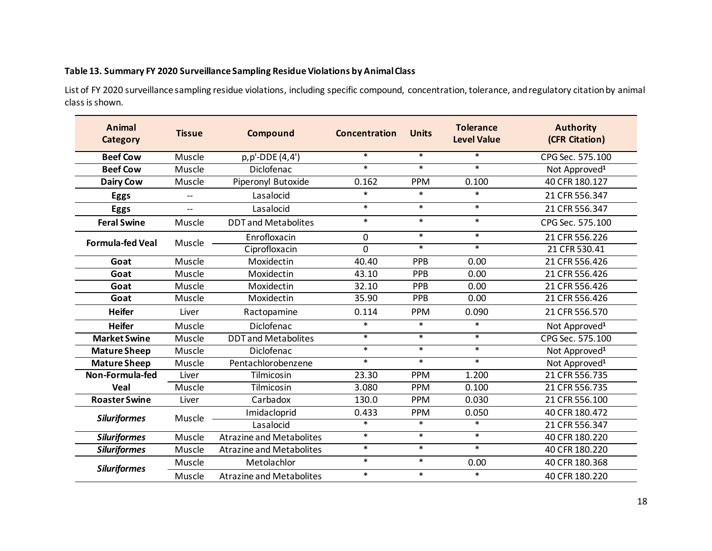#### **Table 13. Summary FY 2020 Surveillance Sampling Residue Violations by Animal Class**

List of FY 2020 surveillance sampling residue violations, including specific compound, concentration, tolerance, and regulatory citation by animal class is shown.

| <b>Animal</b><br><b>Category</b> | <b>Tissue</b>            | Compound                        | Concentration | <b>Units</b> | <b>Tolerance</b><br><b>Level Value</b> | <b>Authority</b><br>(CFR Citation) |
|----------------------------------|--------------------------|---------------------------------|---------------|--------------|----------------------------------------|------------------------------------|
| <b>Beef Cow</b>                  | Muscle                   | p,p'-DDE (4,4')                 | $\ast$        | $\ast$       | $\ast$                                 | CPG Sec. 575.100                   |
| <b>Beef Cow</b>                  | Muscle                   | Diclofenac                      | $\ast$        | $\ast$       | $\ast$                                 | Not Approved <sup>1</sup>          |
| <b>Dairy Cow</b>                 | Muscle                   | Piperonyl Butoxide              | 0.162         | <b>PPM</b>   | 0.100                                  | 40 CFR 180.127                     |
| <b>Eggs</b>                      | $-$                      | Lasalocid                       | $\ast$        | $\ast$       | $\ast$                                 | 21 CFR 556.347                     |
| <b>Eggs</b>                      | $\overline{\phantom{0}}$ | Lasalocid                       | $\ast$        | $\ast$       | $\ast$                                 | 21 CFR 556.347                     |
| <b>Feral Swine</b>               | Muscle                   | <b>DDT</b> and Metabolites      | $\ast$        | $\ast$       | $\ast$                                 | CPG Sec. 575.100                   |
| <b>Formula-fed Veal</b>          | Muscle                   | Enrofloxacin                    | $\mathbf 0$   | $\ast$       | $\ast$                                 | 21 CFR 556.226                     |
|                                  |                          | Ciprofloxacin                   | $\Omega$      | $\ast$       | $\ast$                                 | 21 CFR 530.41                      |
| Goat                             | Muscle                   | Moxidectin                      | 40.40         | PPB          | 0.00                                   | 21 CFR 556.426                     |
| Goat                             | Muscle                   | Moxidectin                      | 43.10         | <b>PPB</b>   | 0.00                                   | 21 CFR 556.426                     |
| Goat                             | Muscle                   | Moxidectin                      | 32.10         | PPB          | 0.00                                   | 21 CFR 556.426                     |
| Goat                             | Muscle                   | Moxidectin                      | 35.90         | PPB          | 0.00                                   | 21 CFR 556.426                     |
| <b>Heifer</b>                    | Liver                    | Ractopamine                     | 0.114         | <b>PPM</b>   | 0.090                                  | 21 CFR 556.570                     |
| <b>Heifer</b>                    | Muscle                   | Diclofenac                      | $\ast$        | $\ast$       | $\ast$                                 | Not Approved <sup>1</sup>          |
| <b>Market Swine</b>              | Muscle                   | <b>DDT</b> and Metabolites      | $\ast$        | $\ast$       | $\ast$                                 | CPG Sec. 575.100                   |
| <b>Mature Sheep</b>              | Muscle                   | Diclofenac                      | $\ast$        | $\ast$       | $\ast$                                 | Not Approved <sup>1</sup>          |
| <b>Mature Sheep</b>              | Muscle                   | Pentachlorobenzene              | $\ast$        | $\ast$       | $\ast$                                 | Not Approved <sup>1</sup>          |
| Non-Formula-fed                  | Liver                    | Tilmicosin                      | 23.30         | <b>PPM</b>   | 1.200                                  | 21 CFR 556.735                     |
| Veal                             | Muscle                   | Tilmicosin                      | 3.080         | <b>PPM</b>   | 0.100                                  | 21 CFR 556.735                     |
| <b>Roaster Swine</b>             | Liver                    | Carbadox                        | 130.0         | <b>PPM</b>   | 0.030                                  | 21 CFR 556.100                     |
| <b>Siluriformes</b>              | Muscle                   | Imidacloprid                    | 0.433         | <b>PPM</b>   | 0.050                                  | 40 CFR 180.472                     |
|                                  |                          | Lasalocid                       | $\ast$        | $\ast$       | $\ast$                                 | 21 CFR 556.347                     |
| <b>Siluriformes</b>              | Muscle                   | <b>Atrazine and Metabolites</b> | $\ast$        | $\ast$       | $\ast$                                 | 40 CFR 180.220                     |
| <b>Siluriformes</b>              | Muscle                   | <b>Atrazine and Metabolites</b> | $\ast$        | $\ast$       | $\ast$                                 | 40 CFR 180.220                     |
| <b>Siluriformes</b>              | Muscle                   | Metolachlor                     | $\ast$        | $\ast$       | 0.00                                   | 40 CFR 180.368                     |
|                                  | Muscle                   | <b>Atrazine and Metabolites</b> | $\ast$        | $\ast$       | $\ast$                                 | 40 CFR 180.220                     |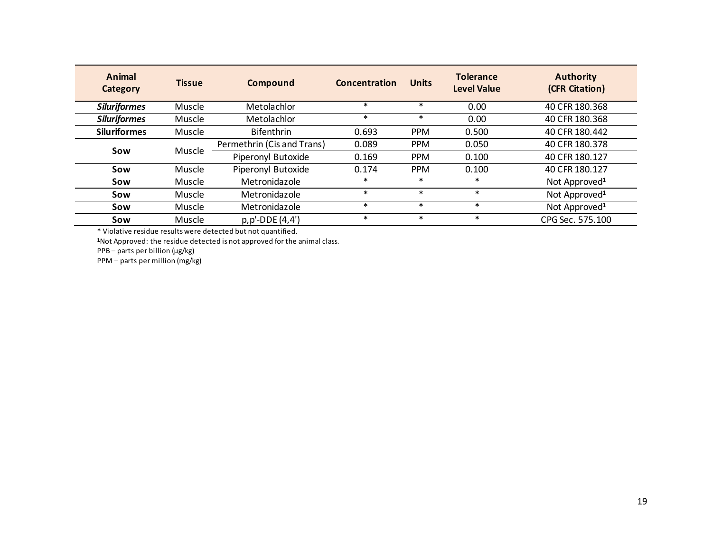| Animal<br>Category  | <b>Tissue</b> | Compound                   | Concentration | <b>Units</b> | <b>Tolerance</b><br><b>Level Value</b> | <b>Authority</b><br>(CFR Citation) |
|---------------------|---------------|----------------------------|---------------|--------------|----------------------------------------|------------------------------------|
| <b>Siluriformes</b> | Muscle        | Metolachlor                | $\ast$        | $\ast$       | 0.00                                   | 40 CFR 180.368                     |
| <b>Siluriformes</b> | Muscle        | Metolachlor                | $\ast$        | $\ast$       | 0.00                                   | 40 CFR 180.368                     |
| <b>Siluriformes</b> | Muscle        | <b>Bifenthrin</b>          | 0.693         | <b>PPM</b>   | 0.500                                  | 40 CFR 180.442                     |
| Sow                 | Muscle        | Permethrin (Cis and Trans) | 0.089         | <b>PPM</b>   | 0.050                                  | 40 CFR 180.378                     |
|                     |               | Piperonyl Butoxide         | 0.169         | <b>PPM</b>   | 0.100                                  | 40 CFR 180.127                     |
| Sow                 | <b>Muscle</b> | Piperonyl Butoxide         | 0.174         | <b>PPM</b>   | 0.100                                  | 40 CFR 180.127                     |
| Sow                 | Muscle        | Metronidazole              | $\ast$        | $\ast$       | $\ast$                                 | Not Approved <sup>1</sup>          |
| Sow                 | <b>Muscle</b> | Metronidazole              | $\ast$        | $\ast$       | $\ast$                                 | Not Approved <sup>1</sup>          |
| Sow                 | Muscle        | Metronidazole              | $\ast$        | $\ast$       | $\ast$                                 | Not Approved <sup>1</sup>          |
| Sow                 | Muscle        | p,p'-DDE (4,4')            | $\ast$        | $\ast$       | $\ast$                                 | CPG Sec. 575.100                   |

**\*** Violative residue results were detected but not quantified.

**<sup>1</sup>**Not Approved: the residue detected is not approved for the animal class.

PPB – parts per billion (µg/kg)

PPM – parts per million (mg/kg)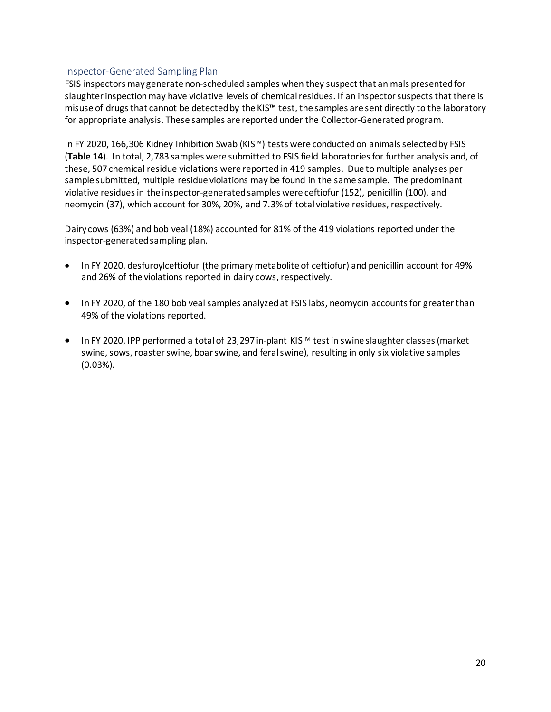#### <span id="page-19-0"></span>Inspector-Generated Sampling Plan

FSIS inspectors may generate non-scheduled samples when they suspect that animals presented for slaughter inspection may have violative levels of chemical residues. If an inspector suspects that there is misuse of drugs that cannot be detected by the KIS™ test, the samples are sent directly to the laboratory for appropriate analysis. These samples are reported under the Collector-Generated program.

In FY 2020, 166,306 Kidney Inhibition Swab (KIS™) tests were conducted on animals selected by FSIS (**Table 14**). In total, 2,783 samples were submitted to FSIS field laboratories for further analysis and, of these, 507 chemical residue violations were reported in 419 samples. Due to multiple analyses per sample submitted, multiple residue violations may be found in the same sample. The predominant violative residues in the inspector-generated samples were ceftiofur (152), penicillin (100), and neomycin (37), which account for 30%, 20%, and 7.3% of total violative residues, respectively.

Dairy cows (63%) and bob veal (18%) accounted for 81% of the 419 violations reported under the inspector-generated sampling plan.

- In FY 2020, desfuroylceftiofur (the primary metabolite of ceftiofur) and penicillin account for 49% and 26% of the violations reported in dairy cows, respectively.
- In FY 2020, of the 180 bob veal samples analyzed at FSIS labs, neomycin accounts for greater than 49% of the violations reported.
- In FY 2020, IPP performed a total of 23,297 in-plant KISTM testin swine slaughter classes(market swine, sows, roaster swine, boar swine, and feral swine), resulting in only six violative samples (0.03%).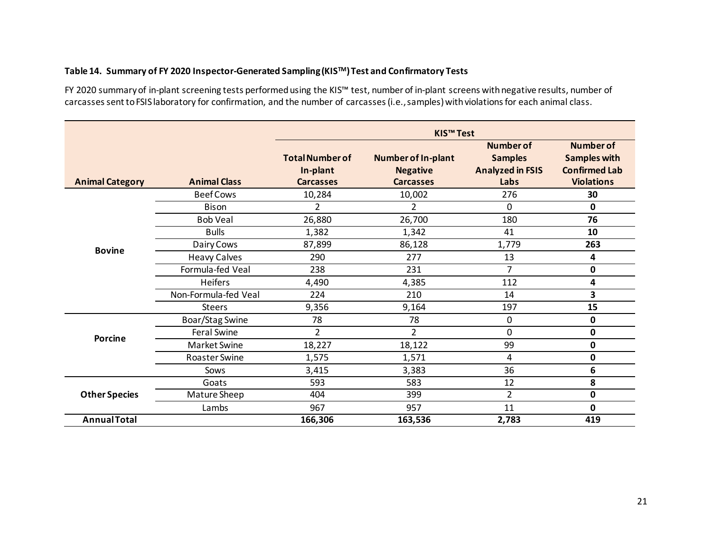#### **Table 14. Summary of FY 2020 Inspector-Generated Sampling (KISTM) Test and Confirmatory Tests**

FY 2020 summary of in-plant screening tests performed using the KIS™ test, number of in-plant screens with negative results, number of carcasses sent to FSIS laboratory for confirmation, and the number of carcasses (i.e.,samples) with violations for each animal class.

| <b>Animal Category</b> | <b>Animal Class</b>                                     | <b>Total Number of</b><br>In-plant<br><b>Carcasses</b>                                                                                                                                                                                                                                                                                                                                        | <b>Number of In-plant</b><br><b>Negative</b><br><b>Carcasses</b> | <b>Number of</b><br><b>Samples</b><br><b>Analyzed in FSIS</b><br>Labs | <b>Number of</b><br><b>Samples with</b><br><b>Confirmed Lab</b><br><b>Violations</b> |
|------------------------|---------------------------------------------------------|-----------------------------------------------------------------------------------------------------------------------------------------------------------------------------------------------------------------------------------------------------------------------------------------------------------------------------------------------------------------------------------------------|------------------------------------------------------------------|-----------------------------------------------------------------------|--------------------------------------------------------------------------------------|
|                        | <b>Beef Cows</b>                                        | 10,284                                                                                                                                                                                                                                                                                                                                                                                        | 10,002                                                           | 276                                                                   | 30                                                                                   |
|                        | <b>Bison</b>                                            | 2                                                                                                                                                                                                                                                                                                                                                                                             | 2                                                                | 0                                                                     | 0                                                                                    |
|                        | <b>Bob Veal</b>                                         | 26,880                                                                                                                                                                                                                                                                                                                                                                                        | 26,700                                                           | 180                                                                   | 76                                                                                   |
|                        | <b>Bulls</b>                                            | 1,382                                                                                                                                                                                                                                                                                                                                                                                         | 1,342                                                            | 41                                                                    | 10                                                                                   |
|                        | Dairy Cows                                              | <b>KIS<sup>™</sup> Test</b><br>87,899<br>86,128<br>290<br>277<br>13<br>$\overline{7}$<br>238<br>231<br>112<br>4,490<br>4,385<br>224<br>210<br>14<br>9,356<br>9,164<br>197<br>78<br>78<br>0<br>$\overline{2}$<br>2<br>0<br>99<br>18,227<br>18,122<br>4<br>1,575<br>1,571<br>36<br>3,415<br>3,383<br>593<br>583<br>12<br>$\overline{2}$<br>404<br>399<br>967<br>957<br>11<br>166,306<br>163,536 | 1,779                                                            | 263                                                                   |                                                                                      |
|                        | <b>Heavy Calves</b>                                     |                                                                                                                                                                                                                                                                                                                                                                                               |                                                                  |                                                                       | 4                                                                                    |
|                        | Formula-fed Veal                                        |                                                                                                                                                                                                                                                                                                                                                                                               |                                                                  |                                                                       | 0                                                                                    |
|                        | <b>Bovine</b><br><b>Heifers</b><br>Non-Formula-fed Veal |                                                                                                                                                                                                                                                                                                                                                                                               |                                                                  | 4                                                                     |                                                                                      |
|                        |                                                         |                                                                                                                                                                                                                                                                                                                                                                                               |                                                                  |                                                                       | 3                                                                                    |
|                        | <b>Steers</b>                                           |                                                                                                                                                                                                                                                                                                                                                                                               | 15<br>0<br>0<br>0<br>0<br>6<br>8<br>0<br>0<br>419<br>2,783       |                                                                       |                                                                                      |
|                        | Boar/Stag Swine                                         |                                                                                                                                                                                                                                                                                                                                                                                               |                                                                  |                                                                       |                                                                                      |
| Porcine                | <b>Feral Swine</b>                                      |                                                                                                                                                                                                                                                                                                                                                                                               |                                                                  |                                                                       |                                                                                      |
|                        | Market Swine                                            |                                                                                                                                                                                                                                                                                                                                                                                               |                                                                  |                                                                       |                                                                                      |
|                        | <b>Roaster Swine</b>                                    |                                                                                                                                                                                                                                                                                                                                                                                               |                                                                  |                                                                       |                                                                                      |
|                        | Sows                                                    |                                                                                                                                                                                                                                                                                                                                                                                               |                                                                  |                                                                       |                                                                                      |
|                        | Goats                                                   |                                                                                                                                                                                                                                                                                                                                                                                               |                                                                  |                                                                       |                                                                                      |
| <b>Other Species</b>   | Mature Sheep                                            |                                                                                                                                                                                                                                                                                                                                                                                               |                                                                  |                                                                       |                                                                                      |
|                        | Lambs                                                   |                                                                                                                                                                                                                                                                                                                                                                                               |                                                                  |                                                                       |                                                                                      |
| <b>Annual Total</b>    |                                                         |                                                                                                                                                                                                                                                                                                                                                                                               |                                                                  |                                                                       |                                                                                      |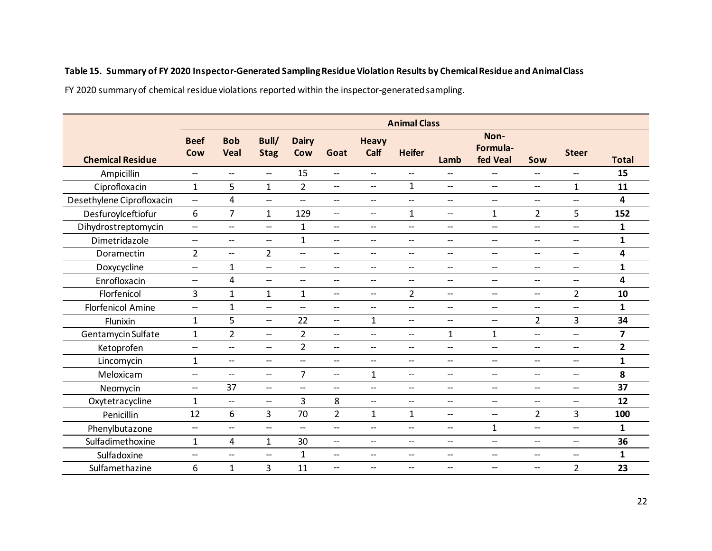#### **Table 15. Summary of FY 2020 Inspector-Generated Sampling Residue Violation Results by Chemical Residue and Animal Class**

FY 2020 summary of chemical residue violations reported within the inspector-generated sampling.

|                           | <b>Animal Class</b>                                 |                                    |                          |                                     |                                       |                                    |                                    |                                       |                                                     |                                                     |                          |                |
|---------------------------|-----------------------------------------------------|------------------------------------|--------------------------|-------------------------------------|---------------------------------------|------------------------------------|------------------------------------|---------------------------------------|-----------------------------------------------------|-----------------------------------------------------|--------------------------|----------------|
| <b>Chemical Residue</b>   | <b>Beef</b><br>Cow                                  | <b>Bob</b><br><b>Veal</b>          | Bull/<br><b>Stag</b>     | <b>Dairy</b><br>Cow                 | Goat                                  | <b>Heavy</b><br>Calf               | <b>Heifer</b>                      | Lamb                                  | Non-<br>Formula-<br>fed Veal                        | Sow                                                 | <b>Steer</b>             | <b>Total</b>   |
| Ampicillin                | $\overline{\phantom{a}}$                            | $\overline{\phantom{a}}$           | $\overline{\phantom{a}}$ | 15                                  | $\overline{\phantom{a}}$              | $\overline{\phantom{a}}$           | $\overline{\phantom{a}}$           | $\overline{\phantom{0}}$              | $\overline{\phantom{a}}$                            | $\overline{\phantom{a}}$                            | $-$                      | 15             |
| Ciprofloxacin             | $\mathbf{1}$                                        | 5                                  | $\mathbf{1}$             | $\overline{2}$                      | $-\!$                                 | $-$                                | $\mathbf{1}$                       | $\overline{\phantom{a}}$              | $\overline{\phantom{a}}$                            | --                                                  | $\mathbf{1}$             | 11             |
| Desethylene Ciprofloxacin | $\overline{\phantom{a}}$                            | 4                                  | $\qquad \qquad -$        | $\overline{\phantom{a}}$            | $\overline{\phantom{a}}$              | $\hspace{0.05cm} -\hspace{0.05cm}$ | $\hspace{0.05cm} -\hspace{0.05cm}$ | $\overline{\phantom{a}}$              | $\overline{\phantom{a}}$                            | $\overline{\phantom{a}}$                            | $\overline{\phantom{a}}$ | 4              |
| Desfuroylceftiofur        | 6                                                   | $\overline{7}$                     | $\mathbf{1}$             | 129                                 | $\overline{\phantom{a}}$              | $\overline{\phantom{a}}$           | $\mathbf{1}$                       | $\overline{\phantom{a}}$              | $\mathbf{1}$                                        | $\overline{2}$                                      | 5                        | 152            |
| Dihydrostreptomycin       | $\overline{\phantom{m}}$                            | $\overline{\phantom{a}}$           | $\qquad \qquad -$        | $\mathbf{1}$                        | $\overline{\phantom{a}}$              | $\overline{\phantom{a}}$           | $\overline{\phantom{a}}$           | $\overline{\phantom{a}}$              | $\overline{\phantom{a}}$                            | $\overline{\phantom{a}}$                            | $\overline{\phantom{a}}$ | $\mathbf{1}$   |
| Dimetridazole             | $\hspace{0.05cm} \dashrightarrow$                   | $\overline{\phantom{a}}$           | $\overline{\phantom{a}}$ | $\mathbf{1}$                        | $\hspace{0.05cm} \ldots$              | $\overline{\phantom{a}}$           | $\overline{\phantom{a}}$           | $\overline{\phantom{a}}$              | $\overline{\phantom{a}}$                            | $\hspace{0.05cm} -\hspace{0.05cm} -\hspace{0.05cm}$ | $\overline{\phantom{a}}$ | $\mathbf{1}$   |
| Doramectin                | $\overline{2}$                                      | $\hspace{0.05cm} -\hspace{0.05cm}$ | $\overline{2}$           | $\overline{\phantom{m}}$            | $\overline{\phantom{a}}$              | $\overline{\phantom{a}}$           | $\overline{\phantom{a}}$           | $\overline{\phantom{a}}$              | $\overline{\phantom{a}}$                            | $\overline{\phantom{a}}$                            | $\overline{\phantom{a}}$ | 4              |
| Doxycycline               | $\overline{\phantom{a}}$                            | $\mathbf{1}$                       | $\overline{\phantom{a}}$ | $\hspace{0.05cm}$ $\hspace{0.05cm}$ | $\overline{\phantom{a}}$              | $\overline{\phantom{0}}$           | $\hspace{0.05cm} -\hspace{0.05cm}$ | $\overline{\phantom{0}}$              | $\qquad \qquad -$                                   | $\overline{\phantom{a}}$                            | $-$                      | $\mathbf{1}$   |
| Enrofloxacin              | $\hspace{0.05cm}$ $\hspace{0.05cm}$                 | 4                                  | $\overline{\phantom{a}}$ | $\overline{\phantom{a}}$            | $\overline{\phantom{a}}$              | $\overline{\phantom{a}}$           | $\overline{\phantom{a}}$           | $\overline{\phantom{a}}$              | $\hspace{0.05cm}$ $\hspace{0.05cm}$                 | $\overline{\phantom{a}}$                            | $\overline{\phantom{a}}$ | 4              |
| Florfenicol               | 3                                                   | $\mathbf{1}$                       | $\mathbf{1}$             | $\mathbf{1}$                        | $\hspace{0.05cm} \dashrightarrow$     | $-\!$                              | $\overline{2}$                     | $\overline{\phantom{a}}$              | $\overline{\phantom{a}}$                            | --                                                  | $\overline{2}$           | 10             |
| <b>Florfenicol Amine</b>  | $\overline{\phantom{a}}$                            | $\mathbf{1}$                       | $\overline{\phantom{a}}$ | $\overline{\phantom{m}}$            | $\overline{\phantom{m}}$              | $-\!$                              | $\qquad \qquad -$                  | $\overline{\phantom{m}}$              | $\hspace{0.05cm} -\hspace{0.05cm} -\hspace{0.05cm}$ | $\overline{\phantom{a}}$                            | $\overline{\phantom{a}}$ | $\mathbf{1}$   |
| Flunixin                  | $\mathbf{1}$                                        | 5                                  | $\overline{\phantom{a}}$ | 22                                  | $-\!$                                 | 1                                  | $\overline{\phantom{a}}$           | $\overline{\phantom{0}}$              | $\hspace{0.05cm}$ $\hspace{0.05cm}$                 | $\overline{2}$                                      | 3                        | 34             |
| Gentamycin Sulfate        | $\mathbf{1}$                                        | $\overline{2}$                     | $\overline{\phantom{a}}$ | $\overline{2}$                      | $\overline{\phantom{m}}$              | $\overline{\phantom{a}}$           | $\overline{\phantom{m}}$           | $\mathbf{1}$                          | 1                                                   | $\overline{\phantom{m}}$                            | $-$                      | $\overline{7}$ |
| Ketoprofen                | $\overline{\phantom{a}}$                            | $\overline{\phantom{a}}$           | $\overline{\phantom{a}}$ | $\overline{2}$                      | $\overline{\phantom{a}}$              | $\overline{\phantom{a}}$           | $\hspace{0.05cm} -\hspace{0.05cm}$ | $\overline{\phantom{a}}$              | $\overline{\phantom{a}}$                            | $\overline{\phantom{a}}$                            | $\overline{\phantom{a}}$ | $\overline{2}$ |
| Lincomycin                | $\mathbf{1}$                                        | $\overline{\phantom{a}}$           | $\overline{\phantom{a}}$ | $\overline{\phantom{m}}$            | $\overline{\phantom{m}}$              | $-$                                | $\overline{\phantom{a}}$           | $\overline{\phantom{a}}$              | $\hspace{0.05cm} -\hspace{0.05cm} -\hspace{0.05cm}$ | --                                                  | $\overline{\phantom{a}}$ | $\mathbf{1}$   |
| Meloxicam                 | $\overline{\phantom{a}}$                            | $\overline{\phantom{a}}$           | $\hspace{0.05cm} -$      | $\overline{7}$                      | $\overline{\phantom{m}}$              | $\mathbf{1}$                       | $\overline{\phantom{a}}$           | $\overline{\phantom{a}}$              | $\overline{\phantom{a}}$                            | $\overline{\phantom{a}}$                            | $\overline{\phantom{a}}$ | 8              |
| Neomycin                  | $\overline{\phantom{a}}$                            | 37                                 | $\overline{\phantom{a}}$ | $\hspace{0.05cm}$ $\hspace{0.05cm}$ | $\hspace{0.05cm}$ – $\hspace{0.05cm}$ | $\overline{\phantom{0}}$           | $\hspace{0.05cm} -\hspace{0.05cm}$ | $- -$                                 | $\qquad \qquad -$                                   | $\overline{\phantom{a}}$                            | $-$                      | 37             |
| Oxytetracycline           | $\mathbf{1}$                                        | $\overline{\phantom{a}}$           | $\overline{\phantom{a}}$ | $\overline{3}$                      | 8                                     | $\overline{\phantom{a}}$           | $\overline{\phantom{m}}$           | $\overline{\phantom{a}}$              | $\overline{\phantom{a}}$                            | $\overline{\phantom{a}}$                            | $-$                      | 12             |
| Penicillin                | 12                                                  | 6                                  | 3                        | 70                                  | $\overline{2}$                        | 1                                  | $\mathbf{1}$                       | $\overline{\phantom{a}}$              | $\hspace{0.05cm}$ – $\hspace{0.05cm}$               | $\overline{2}$                                      | 3                        | 100            |
| Phenylbutazone            | $\hspace{0.05cm} -\hspace{0.05cm} -\hspace{0.05cm}$ | $\overline{\phantom{a}}$           | $\overline{\phantom{a}}$ | $\overline{\phantom{a}}$            | $\overline{\phantom{a}}$              | $\overline{\phantom{a}}$           | $\overline{\phantom{a}}$           | $\overline{\phantom{a}}$              | $\mathbf{1}$                                        | $\overline{\phantom{a}}$                            | --                       | $\mathbf{1}$   |
| Sulfadimethoxine          | $\mathbf{1}$                                        | $\overline{4}$                     | $\mathbf{1}$             | 30                                  | $\overline{\phantom{a}}$              | $\overline{\phantom{a}}$           | $\overline{\phantom{a}}$           | $\overline{\phantom{a}}$              | $- -$                                               | $\overline{\phantom{a}}$                            | $\overline{\phantom{a}}$ | 36             |
| Sulfadoxine               | $\overline{\phantom{m}}$                            | --                                 | --                       | $\mathbf{1}$                        | $\overline{\phantom{m}}$              | --                                 | $-\!$                              | --                                    | $\hspace{0.05cm}$ $\hspace{0.05cm}$                 | $\qquad \qquad -$                                   | --                       | $\mathbf{1}$   |
| Sulfamethazine            | 6                                                   | $\mathbf{1}$                       | 3                        | 11                                  | $\overline{\phantom{m}}$              | $\hspace{0.05cm} -\hspace{0.05cm}$ | $\overline{\phantom{a}}$           | $\hspace{0.05cm}$ – $\hspace{0.05cm}$ | $\hspace{0.05cm}$ $\hspace{0.05cm}$                 | $\hspace{0.05cm} -\hspace{0.05cm} -\hspace{0.05cm}$ | $\overline{2}$           | 23             |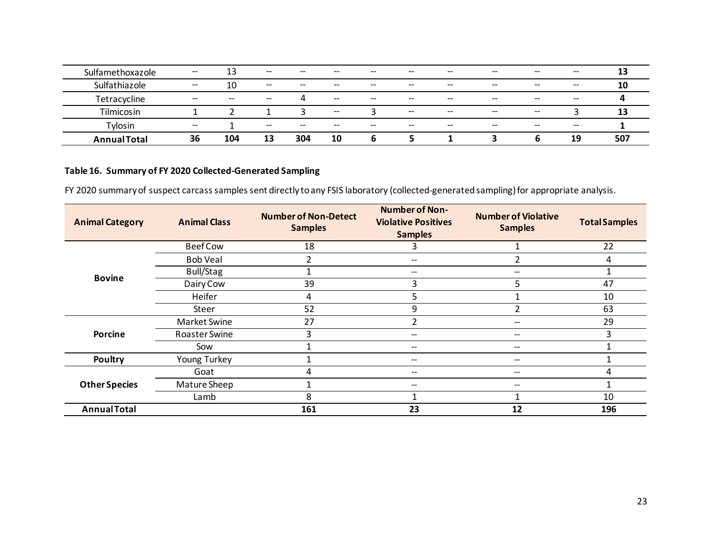| Sulfamethoxazole    | $- -$ | 13    | $\hspace{0.05cm} \textbf{--}$         | $- -$ | $- -$ | $- -$ | $\hspace{0.05cm} \textbf{--}$                       | $- -$ | $- -$ | $\hspace{0.05cm} \dashv$                       | $- -$ | 13  |
|---------------------|-------|-------|---------------------------------------|-------|-------|-------|-----------------------------------------------------|-------|-------|------------------------------------------------|-------|-----|
| Sulfathiazole       | $- -$ | 10    | $\hspace{0.05cm}$ – $\hspace{0.05cm}$ | $- -$ | $- -$ | $- -$ | $- -$                                               | $- -$ | $- -$ | $- -$                                          | $- -$ | 10  |
| Tetracycline        | $- -$ | $- -$ | $\hspace{0.05cm} \textbf{--}$         | 4     | $- -$ | $- -$ | $- -$                                               | $- -$ | $- -$ | $- -$                                          | $- -$ |     |
| Tilmicosin          |       |       |                                       |       | $- -$ |       | $-\!$                                               | $- -$ | $- -$ | $\hspace{0.1mm}-\hspace{0.1mm}-\hspace{0.1mm}$ |       | 13  |
| Tylosin             | $- -$ |       | $\hspace{0.05cm}$ $\hspace{0.05cm}$   | $- -$ | $- -$ | $- -$ | $\hspace{0.05cm} -\hspace{0.05cm} -\hspace{0.05cm}$ | $- -$ | $- -$ | $- -$                                          | $- -$ |     |
| <b>Annual Total</b> | 36    | 104   | 13                                    | 304   | 10    | ь     | כ                                                   |       |       | b                                              | 19    | 507 |

### **Table 16. Summary of FY 2020 Collected-Generated Sampling**

FY 2020 summary of suspect carcass samples sent directly to any FSIS laboratory (collected-generatedsampling)for appropriate analysis.

| <b>Animal Category</b> | <b>Animal Class</b> | <b>Number of Non-Detect</b><br><b>Samples</b> | <b>Number of Non-</b><br><b>Violative Positives</b><br><b>Samples</b> | <b>Number of Violative</b><br><b>Samples</b> | <b>Total Samples</b> |
|------------------------|---------------------|-----------------------------------------------|-----------------------------------------------------------------------|----------------------------------------------|----------------------|
|                        | <b>Beef Cow</b>     | 18                                            |                                                                       |                                              | 22                   |
|                        | <b>Bob Veal</b>     |                                               |                                                                       |                                              | 4                    |
|                        | Bull/Stag           |                                               | $\hspace{0.05cm} \ldots$                                              |                                              |                      |
| <b>Bovine</b>          | Dairy Cow           | 39                                            | 3                                                                     | 5                                            | 47                   |
|                        | Heifer              | 4                                             | 5                                                                     |                                              | 10                   |
|                        | Steer               | 52                                            | 9<br>$\hspace{0.05cm} \ldots$<br>--<br>--<br>--<br>--<br>23<br>12     |                                              | 63                   |
|                        | Market Swine        | 27                                            |                                                                       |                                              | 29                   |
| <b>Porcine</b>         | Roaster Swine       | 3                                             |                                                                       |                                              | 3                    |
|                        | Sow                 |                                               |                                                                       |                                              |                      |
| Poultry                | Young Turkey        |                                               |                                                                       |                                              |                      |
|                        | Goat                | 4                                             |                                                                       |                                              | 4                    |
| <b>Other Species</b>   | Mature Sheep        |                                               |                                                                       |                                              |                      |
|                        | Lamb                | 8                                             |                                                                       |                                              | 10                   |
| <b>Annual Total</b>    |                     | 161                                           |                                                                       |                                              | 196                  |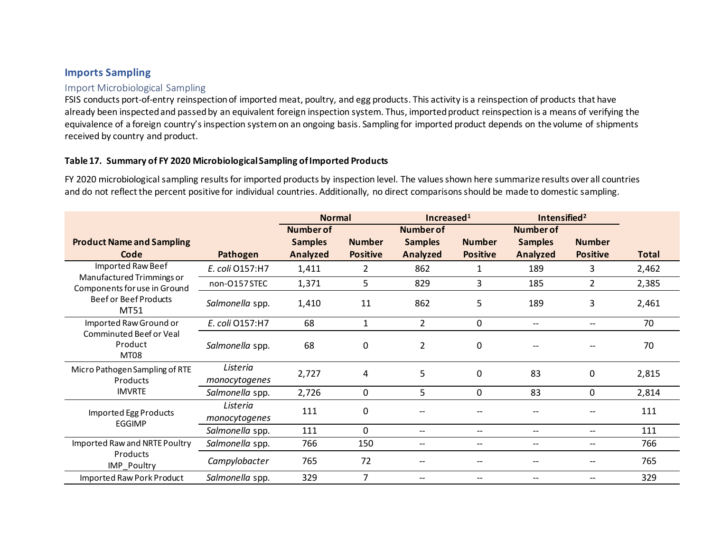### **Imports Sampling**

#### Import Microbiological Sampling

FSIS conducts port-of-entry reinspection of imported meat, poultry, and egg products. This activity is a reinspection of products that have already been inspected and passed by an equivalent foreign inspection system. Thus, imported product reinspection is a means of verifying the equivalence of a foreign country's inspection system on an ongoing basis. Sampling for imported product depends on the volume of shipments received by country and product.

#### **Table 17. Summary of FY 2020 MicrobiologicalSampling of Imported Products**

FY 2020 microbiological sampling results for imported products by inspection level. The values shown here summarize results over all countries and do not reflect the percent positive for individual countries. Additionally, no direct comparisons should be made to domestic sampling.

<span id="page-23-1"></span><span id="page-23-0"></span>

|                                                           |                           | <b>Normal</b>    |                 | Increased $1$                                       |                          | Intensified <sup>2</sup> |                 |              |
|-----------------------------------------------------------|---------------------------|------------------|-----------------|-----------------------------------------------------|--------------------------|--------------------------|-----------------|--------------|
|                                                           |                           | <b>Number of</b> |                 | <b>Number of</b>                                    |                          | <b>Number of</b>         |                 |              |
| <b>Product Name and Sampling</b>                          |                           | <b>Samples</b>   | <b>Number</b>   | <b>Samples</b>                                      | <b>Number</b>            | <b>Samples</b>           | <b>Number</b>   |              |
| Code                                                      | Pathogen                  | Analyzed         | <b>Positive</b> | Analyzed                                            | <b>Positive</b>          | Analyzed                 | <b>Positive</b> | <b>Total</b> |
| Imported Raw Beef                                         | E. coli 0157:H7           | 1,411            | 2               | 862                                                 | 1                        | 189                      | 3               | 2,462        |
| Manufactured Trimmings or<br>Components for use in Ground | non-O157STEC              | 1,371            | 5               | 829                                                 | 3                        | 185                      | 2               | 2,385        |
| <b>Beef or Beef Products</b><br>MT51                      | Salmonella spp.           | 1,410            | 11              | 862                                                 | 5                        | 189                      | 3               | 2,461        |
| Imported Raw Ground or                                    | E. coli 0157:H7           | 68               | 1               | $\overline{2}$                                      | 0                        | $\overline{\phantom{a}}$ |                 | 70           |
| Comminuted Beef or Veal<br>Product<br>MT08                | Salmonella spp.           | 68               | 0               | $\overline{2}$                                      | 0                        |                          |                 | 70           |
| Micro Pathogen Sampling of RTE<br>Products                | Listeria<br>monocytogenes | 2,727            | 4               | 5                                                   | $\mathbf 0$              | 83                       | 0               | 2,815        |
| <b>IMVRTE</b>                                             | Salmonella spp.           | 2,726            | 0               | 5                                                   | $\Omega$                 | 83                       | 0               | 2,814        |
| Imported Egg Products<br><b>EGGIMP</b>                    | Listeria<br>monocytogenes | 111              | 0               |                                                     |                          |                          |                 | 111          |
|                                                           | Salmonella spp.           | 111              | 0               | $\hspace{0.05cm} -\hspace{0.05cm} -\hspace{0.05cm}$ | --                       | $\overline{\phantom{m}}$ | --              | 111          |
| Imported Raw and NRTE Poultry                             | Salmonella spp.           | 766              | 150             | $\overline{\phantom{a}}$                            | $\overline{\phantom{a}}$ | $\overline{\phantom{a}}$ | --              | 766          |
| Products<br>IMP Poultry                                   | Campylobacter             | 765              | 72              | --                                                  | --                       |                          |                 | 765          |
| Imported Raw Pork Product                                 | Salmonella spp.           | 329              | 7               |                                                     | $\overline{\phantom{a}}$ |                          | --              | 329          |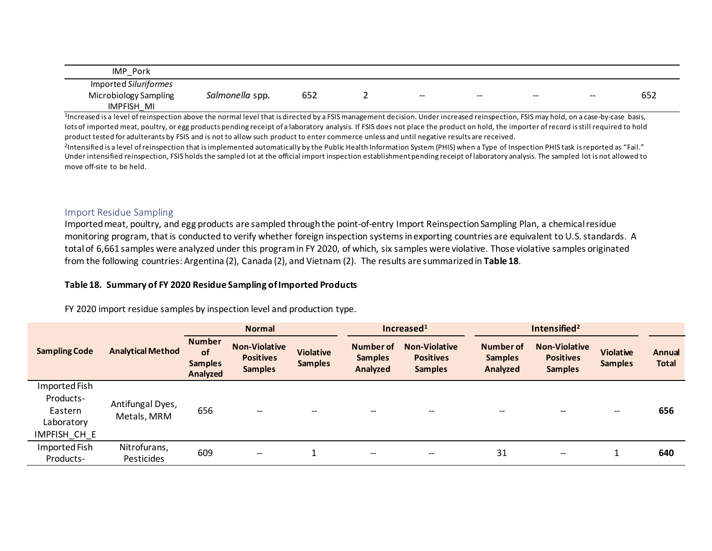| IMP<br>Pork<br>-                                                       |                 |                       |       |       |       |       |                |
|------------------------------------------------------------------------|-----------------|-----------------------|-------|-------|-------|-------|----------------|
| Imported Siluriformes<br>Microbiology Sampling<br><b>IMPFISH</b><br>MI | Salmonella spp. | $- - -$<br><b>652</b> | $- -$ | $- -$ | $- -$ | $- -$ | $- - -$<br>65Z |

<sup>1</sup>Increased is a level of reinspection above the normal level that is directed by a FSIS management decision. Under increased reinspection, FSIS may hold, on a case-by-case basis, lots of imported meat, poultry, or egg products pending receipt of a laboratory analysis. If FSIS does not place the product on hold, the importer of record is still required to hold product tested for adulterants by FSIS and is not to allow such product to enter commerce unless and until negative results are received.

<sup>2</sup>Intensified is a level of reinspection that is implemented automatically by the Public Health Information System (PHIS) when a Type of Inspection PHIS task is reported as "Fail." Under intensified reinspection, FSIS holds the sampled lot at the official import inspection establishment pending receipt of laboratory analysis. The sampled lot is not allowed to move off-site to be held.

#### Import Residue Sampling

Imported meat, poultry, and egg products are sampled through the point-of-entry Import Reinspection Sampling Plan, a chemical residue monitoring program, that is conducted to verify whether foreign inspection systems in exporting countries are equivalent to U.S. standards. A total of 6,661 samples were analyzed under this program in FY 2020, of which, six samples were violative. Those violative samples originated from the following countries: Argentina (2), Canada (2), and Vietnam (2). The results are summarized in **Table 18**.

#### **Table 18. Summary of FY 2020 Residue Sampling of Imported Products**

FY 2020 import residue samples by inspection level and production type.

<span id="page-24-0"></span>

|                                                                     |                                 | <b>Normal</b>                                     |                                                            |                                    |                                         | Increased $1$                                              | Intensified <sup>2</sup>                |                                                            |                                    |                        |
|---------------------------------------------------------------------|---------------------------------|---------------------------------------------------|------------------------------------------------------------|------------------------------------|-----------------------------------------|------------------------------------------------------------|-----------------------------------------|------------------------------------------------------------|------------------------------------|------------------------|
| <b>Sampling Code</b>                                                | <b>Analytical Method</b>        | <b>Number</b><br>of<br><b>Samples</b><br>Analyzed | <b>Non-Violative</b><br><b>Positives</b><br><b>Samples</b> | <b>Violative</b><br><b>Samples</b> | Number of<br><b>Samples</b><br>Analyzed | <b>Non-Violative</b><br><b>Positives</b><br><b>Samples</b> | Number of<br><b>Samples</b><br>Analyzed | <b>Non-Violative</b><br><b>Positives</b><br><b>Samples</b> | <b>Violative</b><br><b>Samples</b> | Annual<br><b>Total</b> |
| Imported Fish<br>Products-<br>Eastern<br>Laboratory<br>IMPFISH_CH_E | Antifungal Dyes,<br>Metals, MRM | 656                                               | $\qquad \qquad -$                                          | --                                 | $-$                                     | --                                                         | --                                      |                                                            | $- -$                              | 656                    |
| Imported Fish<br>Products-                                          | Nitrofurans,<br>Pesticides      | 609                                               | $\hspace{0.05cm}$ – $\hspace{0.05cm}$                      |                                    | $\hspace{0.05cm} \cdots$                | $- -$                                                      | 31                                      | $- -$                                                      |                                    | 640                    |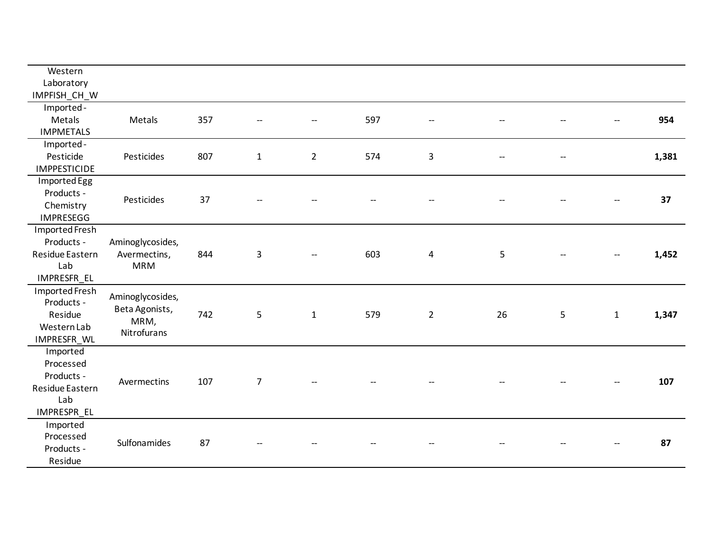| Western<br>Laboratory<br>IMPFISH_CH_W<br>Imported-                                              |       |
|-------------------------------------------------------------------------------------------------|-------|
|                                                                                                 |       |
|                                                                                                 |       |
|                                                                                                 |       |
| 357<br>597<br>Metals<br>Metals<br>--                                                            |       |
| <b>IMPMETALS</b>                                                                                | 954   |
| Imported-                                                                                       |       |
| Pesticide<br>574                                                                                |       |
| 807<br>$\overline{2}$<br>Pesticides<br>$\mathbf{1}$<br>3<br>--<br><b>IMPPESTICIDE</b>           | 1,381 |
|                                                                                                 |       |
| Imported Egg                                                                                    |       |
| Products -<br>Pesticides<br>37<br>$\overline{\phantom{a}}$                                      | 37    |
| Chemistry                                                                                       |       |
| <b>IMPRESEGG</b>                                                                                |       |
| <b>Imported Fresh</b>                                                                           |       |
| Products -<br>Aminoglycosides,                                                                  |       |
| Residue Eastern<br>844<br>603<br>5<br>Avermectins,<br>3<br>4<br>--                              | 1,452 |
| Lab<br><b>MRM</b>                                                                               |       |
| IMPRESFR_EL                                                                                     |       |
| Imported Fresh<br>Aminoglycosides,                                                              |       |
| Products -<br>Beta Agonists,                                                                    |       |
| 742<br>5<br>Residue<br>$\mathbf{1}$<br>579<br>$\overline{2}$<br>26<br>5<br>$\mathbf{1}$<br>MRM, | 1,347 |
| Western Lab<br>Nitrofurans                                                                      |       |
| IMPRESFR_WL                                                                                     |       |
| Imported                                                                                        |       |
| Processed                                                                                       |       |
| Products -<br>107<br>$\overline{7}$<br>Avermectins                                              | 107   |
| Residue Eastern                                                                                 |       |
| Lab                                                                                             |       |
| IMPRESPR_EL                                                                                     |       |
| Imported                                                                                        |       |
| Processed<br>Sulfonamides<br>87                                                                 | 87    |
| Products -                                                                                      |       |
| Residue                                                                                         |       |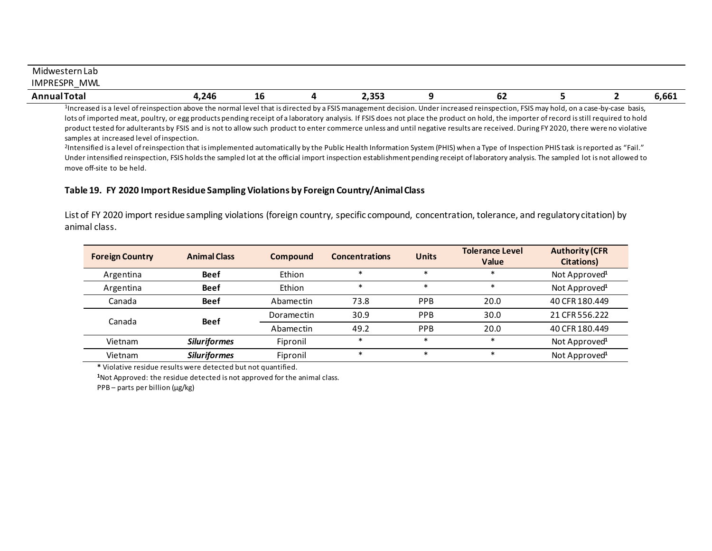| Midwestern Lab                                                                                                                                                                  |      |    |  |                 |  |    |  |  |       |
|---------------------------------------------------------------------------------------------------------------------------------------------------------------------------------|------|----|--|-----------------|--|----|--|--|-------|
| IMPRESPR<br><b>MWL</b>                                                                                                                                                          |      |    |  |                 |  |    |  |  |       |
| <b>Annual Total</b>                                                                                                                                                             | ,246 | TO |  | $\sim$<br>2,353 |  | ОZ |  |  | 6,661 |
| lacrogadica lovel of reinconstion above the normal lovel that is directed by a ESIS management desigion. Under increased reinconsction, ESIS may beld, on a seen by sace, basis |      |    |  |                 |  |    |  |  |       |

1Increased is a level of reinspection above the normal level that is directed by a FSIS management decision. Under increased reinspection, FSIS may hold, on a case-by-case basis, lots of imported meat, poultry, or egg products pending receipt of a laboratory analysis. If FSIS does not place the product on hold, the importer of record is still required to hold product tested for adulterants by FSIS and is not to allow such product to enter commerce unless and until negative results are received. During FY 2020, there were no violative samples at increased level of inspection.<br><sup>2</sup>Intensified is a level of reinspection that is implemented automatically by the Public Health Information System (PHIS) when a Type of Inspection PHIS task is reported as "Fail.

Under intensified reinspection, FSIS holds the sampled lot at the official import inspection establishment pending receipt of laboratory analysis. The sampled lot is not allowed to move off-site to be held.

#### **Table 19. FY 2020 Import Residue Sampling Violations by Foreign Country/Animal Class**

List of FY 2020 import residue sampling violations (foreign country, specific compound, concentration, tolerance, and regulatory citation) by animal class.

| <b>Foreign Country</b> | <b>Animal Class</b> | <b>Compound</b> | <b>Concentrations</b> | <b>Units</b> | <b>Tolerance Level</b><br>Value | <b>Authority (CFR</b><br><b>Citations</b> ) |
|------------------------|---------------------|-----------------|-----------------------|--------------|---------------------------------|---------------------------------------------|
| Argentina              | <b>Beef</b>         | Ethion          | $\ast$                | $\ast$       | $\ast$                          | Not Approved <sup>1</sup>                   |
| Argentina              | <b>Beef</b>         | Ethion          | $\ast$                | ж            | $\ast$                          | Not Approved <sup>1</sup>                   |
| Canada                 | <b>Beef</b>         | Abamectin       | 73.8                  | <b>PPB</b>   | 20.0                            | 40 CFR 180.449                              |
|                        | <b>Beef</b>         | Doramectin      | 30.9                  | <b>PPB</b>   | 30.0                            | 21 CFR 556.222                              |
| Canada                 |                     | Abamectin       | 49.2                  | PPB          | 20.0                            | 40 CFR 180.449                              |
| Vietnam                | <b>Siluriformes</b> | Fipronil        | $\ast$                | $\ast$       | $\ast$                          | Not Approved <sup>1</sup>                   |
| Vietnam                | <b>Siluriformes</b> | Fipronil        | $\ast$                | $\ast$       | $\ast$                          | Not Approved <sup>1</sup>                   |

**\*** Violative residue results were detected but not quantified.

**<sup>1</sup>**Not Approved: the residue detected is not approved for the animal class.

PPB – parts per billion (µg/kg)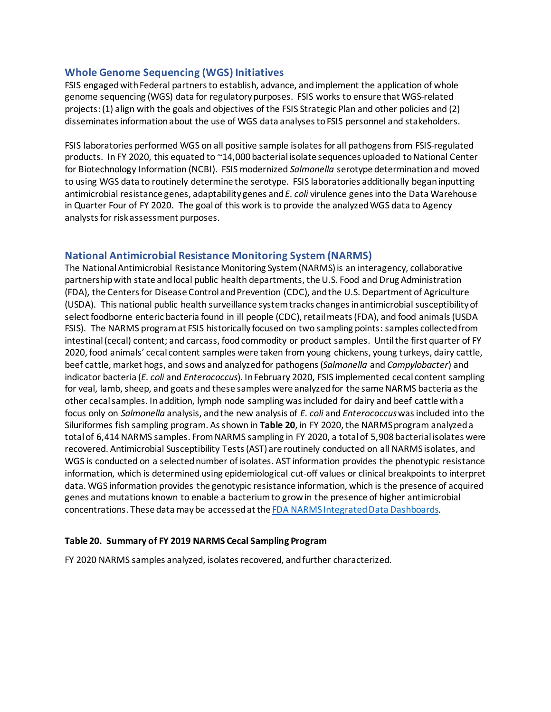#### <span id="page-27-0"></span>**Whole Genome Sequencing (WGS) Initiatives**

FSIS engaged with Federal partners to establish, advance, and implement the application of whole genome sequencing (WGS) data for regulatory purposes. FSIS works to ensure that WGS-related projects: (1) align with the goals and objectives of the FSIS Strategic Plan and other policies and (2) disseminates information about the use of WGS data analyses to FSIS personnel and stakeholders.

FSIS laboratories performed WGS on all positive sample isolatesfor all pathogens from FSIS-regulated products. In FY 2020, this equated to ~14,000 bacterial isolate sequences uploaded to National Center for Biotechnology Information (NCBI). FSIS modernized *Salmonella* serotype determination and moved to using WGS data to routinely determine the serotype. FSIS laboratories additionally began inputting antimicrobial resistance genes, adaptability genes and *E. coli* virulence genes into the Data Warehouse in Quarter Four of FY 2020. The goal of this work is to provide the analyzed WGS data to Agency analysts for risk assessment purposes.

#### <span id="page-27-1"></span>**National Antimicrobial Resistance Monitoring System (NARMS)**

The National Antimicrobial Resistance Monitoring System (NARMS) is an interagency, collaborative partnership with state and local public health departments, the U.S. Food and Drug Administration (FDA), the Centers for Disease Control and Prevention (CDC), and the U.S. Department of Agriculture (USDA). This national public health surveillance system tracks changes in antimicrobial susceptibility of select foodborne enteric bacteria found in ill people (CDC), retail meats (FDA), and food animals (USDA FSIS). The NARMS program at FSIS historically focused on two sampling points: samples collected from intestinal (cecal) content; and carcass, food commodity or product samples. Until the first quarter of FY 2020, food animals' cecal content samples were taken from young chickens, young turkeys, dairy cattle, beef cattle, market hogs, and sows and analyzed for pathogens (*Salmonella* and *Campylobacter*) and indicator bacteria (*E. coli* and *Enterococcus*). In February 2020, FSIS implemented cecal content sampling for veal, lamb, sheep, and goats and these samples were analyzed for the same NARMS bacteria as the other cecal samples. In addition, lymph node sampling was included for dairy and beef cattle with a focus only on *Salmonella* analysis, and the new analysis of *E. coli* and *Enterococcus*wasincluded into the Siluriformes fish sampling program. As shown in **Table 20**, in FY 2020, the NARMS program analyzed a total of 6,414 NARMS samples. From NARMS sampling in FY 2020, a total of 5,908 bacterial isolates were recovered. Antimicrobial Susceptibility Tests (AST) are routinely conducted on all NARMS isolates, and WGS is conducted on a selected number of isolates. AST information provides the phenotypic resistance information, which is determined using epidemiological cut-off values or clinical breakpoints to interpret data. WGS information provides the genotypic resistance information, which is the presence of acquired genes and mutations known to enable a bacterium to grow in the presence of higher antimicrobial concentrations. These data may be accessed at th[e FDA NARMS Integrated Data Dashboards](https://www.fda.gov/animal-veterinary/national-antimicrobial-resistance-monitoring-system/narms-now-integrated-data).

#### **Table 20. Summary of FY 2019 NARMS Cecal Sampling Program**

FY 2020 NARMS samples analyzed, isolates recovered, and further characterized.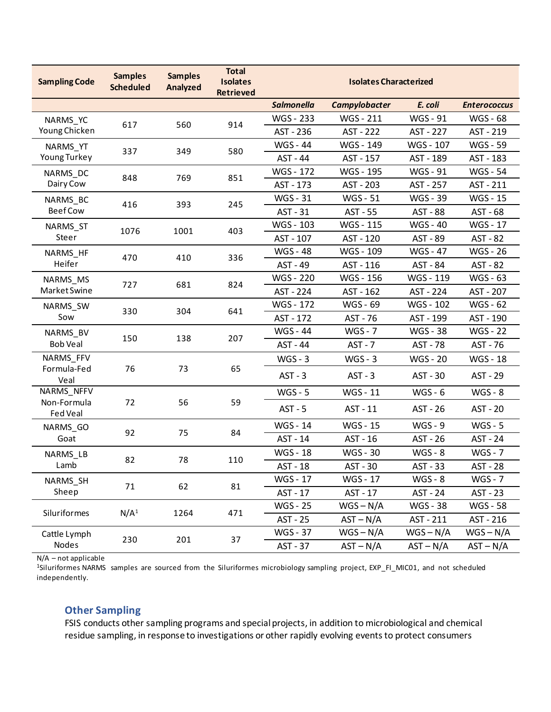| <b>Sampling Code</b>    | <b>Samples</b><br><b>Scheduled</b> | <b>Samples</b><br>Analyzed | <b>Total</b><br><b>Isolates</b><br><b>Retrieved</b> | <b>Isolates Characterized</b> |                                                                                                                |                 |                     |  |
|-------------------------|------------------------------------|----------------------------|-----------------------------------------------------|-------------------------------|----------------------------------------------------------------------------------------------------------------|-----------------|---------------------|--|
|                         |                                    |                            |                                                     | <b>Salmonella</b>             | Campylobacter                                                                                                  | E. coli         | <b>Enterococcus</b> |  |
| NARMS_YC                |                                    |                            |                                                     | WGS - 233                     | WGS - 211                                                                                                      | WGS - 91        | WGS - 68            |  |
| Young Chicken           | 617                                | 560                        | 914                                                 | AST - 236                     | AST - 222                                                                                                      | AST - 227       | AST - 219           |  |
| NARMS_YT                | 337                                | 349                        | 580                                                 | <b>WGS - 44</b>               | WGS - 149                                                                                                      | WGS - 107       | <b>WGS - 59</b>     |  |
| Young Turkey            |                                    |                            |                                                     | AST - 44                      | AST - 157                                                                                                      | AST - 189       | AST - 183           |  |
| NARMS_DC                | 848                                | 769                        | 851                                                 | WGS - 172                     | WGS - 195                                                                                                      | WGS - 91        | <b>WGS - 54</b>     |  |
| Dairy Cow               |                                    |                            |                                                     | AST - 173                     | AST - 203                                                                                                      | AST - 257       | AST - 211           |  |
| NARMS_BC                | 416                                | 393                        | 245                                                 | <b>WGS - 31</b>               | <b>WGS - 51</b>                                                                                                | <b>WGS - 39</b> | <b>WGS - 15</b>     |  |
| <b>Beef Cow</b>         |                                    |                            |                                                     | AST - 31                      | AST - 55                                                                                                       | <b>AST - 88</b> | AST - 68            |  |
| NARMS_ST                | 1076                               | 1001                       | 403                                                 | WGS - 103                     | WGS - 115                                                                                                      | <b>WGS-40</b>   | WGS - 17            |  |
| Steer                   |                                    |                            |                                                     | AST - 107                     | AST - 120                                                                                                      | AST - 89        | AST - 82            |  |
| NARMS_HF                | 470                                | 410                        | 336                                                 | <b>WGS - 48</b>               | WGS - 109                                                                                                      | <b>WGS-47</b>   | WGS - 26            |  |
| Heifer                  |                                    |                            |                                                     | AST - 49                      | AST - 116                                                                                                      | AST - 84        | AST - 82            |  |
| NARMS_MS                | 727                                | 681                        | 824                                                 | WGS - 220                     | WGS - 156                                                                                                      | WGS - 119       | WGS - 63            |  |
| Market Swine            |                                    |                            |                                                     | AST - 224                     | AST - 162                                                                                                      | AST - 224       | AST - 207           |  |
| NARMS_SW                | 330                                |                            | 641                                                 | <b>WGS - 172</b>              | WGS - 69                                                                                                       | WGS - 102       | WGS - 62            |  |
| Sow                     |                                    | 304                        |                                                     | AST - 172                     | AST - 76<br>AST - 199<br>$WGS - 7$<br><b>WGS - 38</b><br>$AST - 7$<br>AST - 78<br>$WGS - 3$<br><b>WGS - 20</b> | AST - 190       |                     |  |
| NARMS_BV                | 150                                | 138                        | 207                                                 | <b>WGS - 44</b>               |                                                                                                                |                 | <b>WGS - 22</b>     |  |
| <b>Bob Veal</b>         |                                    |                            |                                                     | AST - 44                      |                                                                                                                |                 | AST - 76            |  |
| NARMS_FFV               |                                    |                            |                                                     | $WGS - 3$                     |                                                                                                                |                 | WGS - 18            |  |
| Formula-Fed<br>Veal     | 76                                 | 73                         | 65                                                  | $AST - 3$                     | $AST - 3$                                                                                                      | AST - 30        | AST - 29            |  |
| NARMS_NFFV              |                                    |                            |                                                     | $WGS - 5$                     | WGS - 11                                                                                                       | $WGS - 6$       | $WGS - 8$           |  |
| Non-Formula<br>Fed Veal | 72                                 | 56                         | 59                                                  | $AST - 5$                     | AST - 11                                                                                                       | AST - 26        | AST - 20            |  |
| NARMS_GO                |                                    |                            |                                                     | <b>WGS - 14</b>               | <b>WGS - 15</b>                                                                                                | $WGS - 9$       | $WGS - 5$           |  |
| Goat                    | 92                                 | 75                         | 84                                                  | AST - 14                      | AST - 16                                                                                                       | AST - 26        | AST - 24            |  |
| NARMS_LB                |                                    |                            |                                                     | <b>WGS - 18</b>               | <b>WGS - 30</b>                                                                                                | $WGS - 8$       | $WGS - 7$           |  |
| Lamb                    | 82                                 | 78                         | 110                                                 | AST - 18                      | AST - 30                                                                                                       | AST - 33        | AST - 28            |  |
| NARMS_SH                |                                    |                            |                                                     | WGS - 17                      | WGS - 17                                                                                                       | $WGS - 8$       | $WGS - 7$           |  |
| Sheep                   | 71                                 | 62                         | 81                                                  | AST - 17                      | AST - 17                                                                                                       | AST - 24        | AST - 23            |  |
|                         |                                    |                            |                                                     | <b>WGS - 25</b>               | $WGS - N/A$                                                                                                    | <b>WGS - 38</b> | <b>WGS - 58</b>     |  |
| Siluriformes            | N/A <sup>1</sup>                   | 1264                       | 471                                                 | AST - 25                      | $AST - N/A$                                                                                                    | AST - 211       | AST - 216           |  |
| Cattle Lymph            |                                    |                            |                                                     | <b>WGS - 37</b>               | $WGS - N/A$                                                                                                    | $WGS - N/A$     | $WGS - N/A$         |  |
| Nodes                   | 230                                | 201                        | 37                                                  | AST - 37                      | $AST - N/A$                                                                                                    | $AST - N/A$     | $AST - N/A$         |  |

N/A – not applicable

1Siluriformes NARMS samples are sourced from the Siluriformes microbiology sampling project, EXP\_FI\_MIC01, and not scheduled independently.

# <span id="page-28-0"></span>**Other Sampling**

FSIS conducts other sampling programs and special projects, in addition to microbiological and chemical residue sampling, in response to investigations or other rapidly evolving events to protect consumers